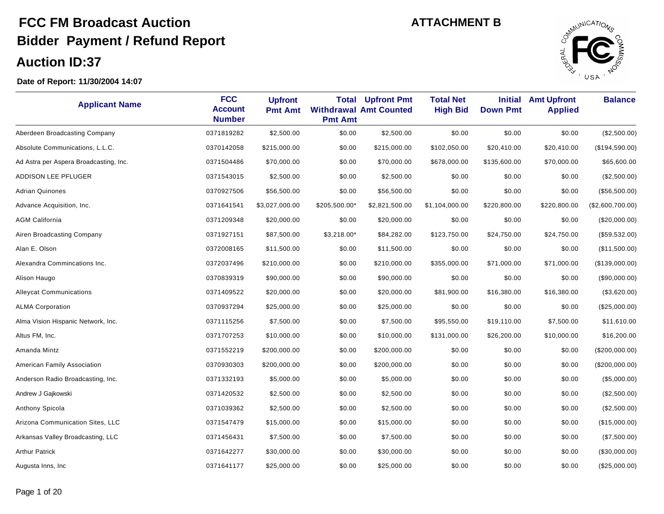

| <b>Applicant Name</b>                  | <b>FCC</b><br><b>Account</b><br><b>Number</b> | <b>Upfront</b><br><b>Pmt Amt</b> | Total<br><b>Pmt Amt</b> | <b>Upfront Pmt</b><br><b>Withdrawal Amt Counted</b> | <b>Total Net</b><br><b>High Bid</b> | <b>Initial</b><br><b>Down Pmt</b> | <b>Amt Upfront</b><br><b>Applied</b> | <b>Balance</b>   |
|----------------------------------------|-----------------------------------------------|----------------------------------|-------------------------|-----------------------------------------------------|-------------------------------------|-----------------------------------|--------------------------------------|------------------|
| Aberdeen Broadcasting Company          | 0371819282                                    | \$2,500.00                       | \$0.00                  | \$2,500.00                                          | \$0.00                              | \$0.00                            | \$0.00                               | (\$2,500.00)     |
| Absolute Communications, L.L.C.        | 0370142058                                    | \$215,000.00                     | \$0.00                  | \$215,000.00                                        | \$102,050.00                        | \$20,410.00                       | \$20,410.00                          | (\$194,590.00)   |
| Ad Astra per Aspera Broadcasting, Inc. | 0371504486                                    | \$70,000.00                      | \$0.00                  | \$70,000.00                                         | \$678,000.00                        | \$135,600.00                      | \$70,000.00                          | \$65,600.00      |
| ADDISON LEE PFLUGER                    | 0371543015                                    | \$2,500.00                       | \$0.00                  | \$2,500.00                                          | \$0.00                              | \$0.00                            | \$0.00                               | (\$2,500.00)     |
| <b>Adrian Quinones</b>                 | 0370927506                                    | \$56,500.00                      | \$0.00                  | \$56,500.00                                         | \$0.00                              | \$0.00                            | \$0.00                               | (\$56,500.00)    |
| Advance Acquisition, Inc.              | 0371641541                                    | \$3,027,000.00                   | \$205,500.00*           | \$2,821,500.00                                      | \$1,104,000.00                      | \$220,800.00                      | \$220,800.00                         | (\$2,600,700.00) |
| <b>AGM California</b>                  | 0371209348                                    | \$20,000.00                      | \$0.00                  | \$20,000.00                                         | \$0.00                              | \$0.00                            | \$0.00                               | $(\$20,000.00)$  |
| Airen Broadcasting Company             | 0371927151                                    | \$87,500.00                      | \$3,218.00*             | \$84,282.00                                         | \$123,750.00                        | \$24,750.00                       | \$24,750.00                          | (\$59,532.00)    |
| Alan E. Olson                          | 0372008165                                    | \$11,500.00                      | \$0.00                  | \$11,500.00                                         | \$0.00                              | \$0.00                            | \$0.00                               | (\$11,500.00)    |
| Alexandra Commincations Inc.           | 0372037496                                    | \$210,000.00                     | \$0.00                  | \$210,000.00                                        | \$355,000.00                        | \$71,000.00                       | \$71,000.00                          | (\$139,000.00)   |
| Alison Haugo                           | 0370839319                                    | \$90,000.00                      | \$0.00                  | \$90,000.00                                         | \$0.00                              | \$0.00                            | \$0.00                               | (\$90,000.00)    |
| <b>Alleycat Communications</b>         | 0371409522                                    | \$20,000.00                      | \$0.00                  | \$20,000.00                                         | \$81,900.00                         | \$16,380.00                       | \$16,380.00                          | (\$3,620.00)     |
| <b>ALMA Corporation</b>                | 0370937294                                    | \$25,000.00                      | \$0.00                  | \$25,000.00                                         | \$0.00                              | \$0.00                            | \$0.00                               | (\$25,000.00)    |
| Alma Vision Hispanic Network, Inc.     | 0371115256                                    | \$7,500.00                       | \$0.00                  | \$7,500.00                                          | \$95,550.00                         | \$19,110.00                       | \$7,500.00                           | \$11,610.00      |
| Altus FM, Inc.                         | 0371707253                                    | \$10,000.00                      | \$0.00                  | \$10,000.00                                         | \$131,000.00                        | \$26,200.00                       | \$10,000.00                          | \$16,200.00      |
| Amanda Mintz                           | 0371552219                                    | \$200,000.00                     | \$0.00                  | \$200,000.00                                        | \$0.00                              | \$0.00                            | \$0.00                               | (\$200,000.00)   |
| American Family Association            | 0370930303                                    | \$200,000.00                     | \$0.00                  | \$200,000.00                                        | \$0.00                              | \$0.00                            | \$0.00                               | (\$200,000.00)   |
| Anderson Radio Broadcasting, Inc.      | 0371332193                                    | \$5,000.00                       | \$0.00                  | \$5,000.00                                          | \$0.00                              | \$0.00                            | \$0.00                               | (\$5,000.00)     |
| Andrew J Gajkowski                     | 0371420532                                    | \$2,500.00                       | \$0.00                  | \$2,500.00                                          | \$0.00                              | \$0.00                            | \$0.00                               | (\$2,500.00)     |
| Anthony Spicola                        | 0371039362                                    | \$2,500.00                       | \$0.00                  | \$2,500.00                                          | \$0.00                              | \$0.00                            | \$0.00                               | (\$2,500.00)     |
| Arizona Communication Sites, LLC       | 0371547479                                    | \$15,000.00                      | \$0.00                  | \$15,000.00                                         | \$0.00                              | \$0.00                            | \$0.00                               | (\$15,000.00)    |
| Arkansas Valley Broadcasting, LLC      | 0371456431                                    | \$7,500.00                       | \$0.00                  | \$7,500.00                                          | \$0.00                              | \$0.00                            | \$0.00                               | (\$7,500.00)     |
| <b>Arthur Patrick</b>                  | 0371642277                                    | \$30,000.00                      | \$0.00                  | \$30,000.00                                         | \$0.00                              | \$0.00                            | \$0.00                               | (\$30,000.00)    |
| Augusta Inns, Inc.                     | 0371641177                                    | \$25,000.00                      | \$0.00                  | \$25,000.00                                         | \$0.00                              | \$0.00                            | \$0.00                               | (\$25,000.00)    |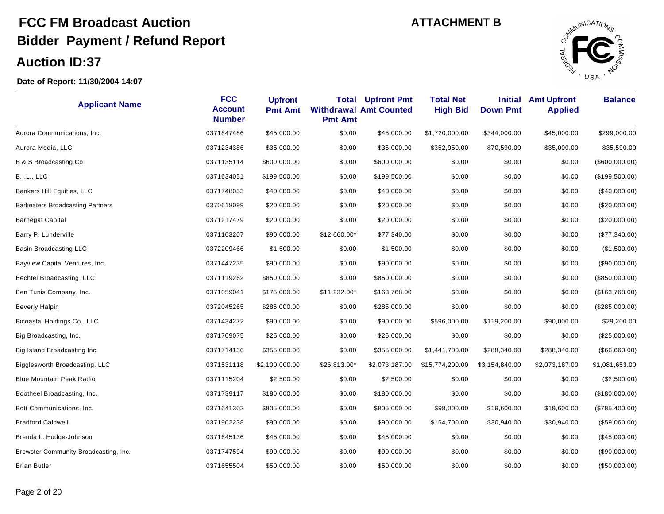

| <b>Applicant Name</b>                   | <b>FCC</b><br><b>Account</b><br><b>Number</b> | <b>Upfront</b><br><b>Pmt Amt</b> | Total<br><b>Pmt Amt</b> | <b>Upfront Pmt</b><br><b>Withdrawal Amt Counted</b> | <b>Total Net</b><br><b>High Bid</b> | <b>Initial</b><br><b>Down Pmt</b> | <b>Amt Upfront</b><br><b>Applied</b> | <b>Balance</b>  |
|-----------------------------------------|-----------------------------------------------|----------------------------------|-------------------------|-----------------------------------------------------|-------------------------------------|-----------------------------------|--------------------------------------|-----------------|
| Aurora Communications, Inc.             | 0371847486                                    | \$45,000.00                      | \$0.00                  | \$45,000.00                                         | \$1,720,000.00                      | \$344,000.00                      | \$45,000.00                          | \$299,000.00    |
| Aurora Media, LLC                       | 0371234386                                    | \$35,000.00                      | \$0.00                  | \$35,000.00                                         | \$352,950.00                        | \$70,590.00                       | \$35,000.00                          | \$35,590.00     |
| B & S Broadcasting Co.                  | 0371135114                                    | \$600,000.00                     | \$0.00                  | \$600,000.00                                        | \$0.00                              | \$0.00                            | \$0.00                               | (\$600,000.00)  |
| B.I.L., LLC                             | 0371634051                                    | \$199,500.00                     | \$0.00                  | \$199,500.00                                        | \$0.00                              | \$0.00                            | \$0.00                               | (\$199,500.00)  |
| Bankers Hill Equities, LLC              | 0371748053                                    | \$40,000.00                      | \$0.00                  | \$40,000.00                                         | \$0.00                              | \$0.00                            | \$0.00                               | $(\$40,000.00)$ |
| <b>Barkeaters Broadcasting Partners</b> | 0370618099                                    | \$20,000.00                      | \$0.00                  | \$20,000.00                                         | \$0.00                              | \$0.00                            | \$0.00                               | (\$20,000.00)   |
| <b>Barnegat Capital</b>                 | 0371217479                                    | \$20,000.00                      | \$0.00                  | \$20,000.00                                         | \$0.00                              | \$0.00                            | \$0.00                               | (\$20,000.00)   |
| Barry P. Lunderville                    | 0371103207                                    | \$90,000.00                      | \$12,660.00*            | \$77,340.00                                         | \$0.00                              | \$0.00                            | \$0.00                               | (\$77,340.00)   |
| Basin Broadcasting LLC                  | 0372209466                                    | \$1,500.00                       | \$0.00                  | \$1,500.00                                          | \$0.00                              | \$0.00                            | \$0.00                               | (\$1,500.00)    |
| Bayview Capital Ventures, Inc.          | 0371447235                                    | \$90,000.00                      | \$0.00                  | \$90,000.00                                         | \$0.00                              | \$0.00                            | \$0.00                               | (\$90,000.00)   |
| Bechtel Broadcasting, LLC               | 0371119262                                    | \$850,000.00                     | \$0.00                  | \$850,000.00                                        | \$0.00                              | \$0.00                            | \$0.00                               | (\$850,000.00)  |
| Ben Tunis Company, Inc.                 | 0371059041                                    | \$175,000.00                     | $$11,232.00*$           | \$163,768.00                                        | \$0.00                              | \$0.00                            | \$0.00                               | (\$163,768.00)  |
| <b>Beverly Halpin</b>                   | 0372045265                                    | \$285,000.00                     | \$0.00                  | \$285,000.00                                        | \$0.00                              | \$0.00                            | \$0.00                               | (\$285,000.00)  |
| Bicoastal Holdings Co., LLC             | 0371434272                                    | \$90,000.00                      | \$0.00                  | \$90,000.00                                         | \$596,000.00                        | \$119,200.00                      | \$90,000.00                          | \$29,200.00     |
| Big Broadcasting, Inc.                  | 0371709075                                    | \$25,000.00                      | \$0.00                  | \$25,000.00                                         | \$0.00                              | \$0.00                            | \$0.00                               | (\$25,000.00)   |
| Big Island Broadcasting Inc.            | 0371714136                                    | \$355,000.00                     | \$0.00                  | \$355,000.00                                        | \$1,441,700.00                      | \$288,340.00                      | \$288,340.00                         | (\$66,660.00)   |
| Bigglesworth Broadcasting, LLC          | 0371531118                                    | \$2,100,000.00                   | \$26,813.00*            | \$2,073,187.00                                      | \$15,774,200.00                     | \$3,154,840.00                    | \$2,073,187.00                       | \$1,081,653.00  |
| <b>Blue Mountain Peak Radio</b>         | 0371115204                                    | \$2,500.00                       | \$0.00                  | \$2,500.00                                          | \$0.00                              | \$0.00                            | \$0.00                               | (\$2,500.00)    |
| Bootheel Broadcasting, Inc.             | 0371739117                                    | \$180,000.00                     | \$0.00                  | \$180,000.00                                        | \$0.00                              | \$0.00                            | \$0.00                               | (\$180,000.00)  |
| Bott Communications, Inc.               | 0371641302                                    | \$805,000.00                     | \$0.00                  | \$805,000.00                                        | \$98,000.00                         | \$19,600.00                       | \$19,600.00                          | (\$785,400.00)  |
| <b>Bradford Caldwell</b>                | 0371902238                                    | \$90,000.00                      | \$0.00                  | \$90,000.00                                         | \$154,700.00                        | \$30,940.00                       | \$30,940.00                          | (\$59,060.00)   |
| Brenda L. Hodge-Johnson                 | 0371645136                                    | \$45,000.00                      | \$0.00                  | \$45,000.00                                         | \$0.00                              | \$0.00                            | \$0.00                               | (\$45,000.00)   |
| Brewster Community Broadcasting, Inc.   | 0371747594                                    | \$90,000.00                      | \$0.00                  | \$90,000.00                                         | \$0.00                              | \$0.00                            | \$0.00                               | (\$90,000.00)   |
| <b>Brian Butler</b>                     | 0371655504                                    | \$50,000.00                      | \$0.00                  | \$50,000.00                                         | \$0.00                              | \$0.00                            | \$0.00                               | (\$50,000.00)   |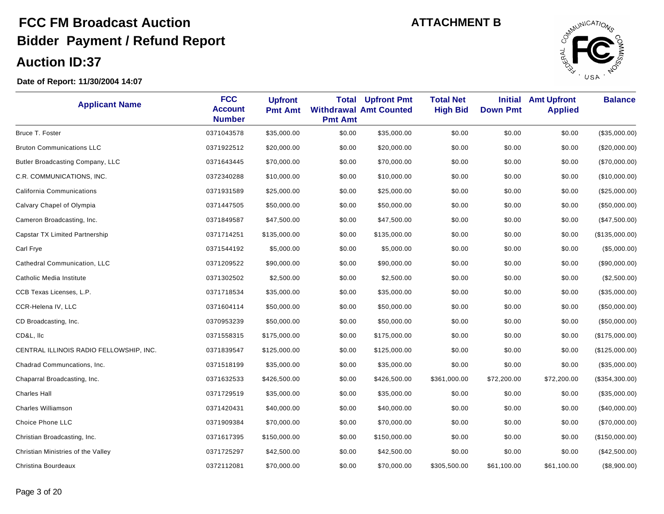

| <b>Applicant Name</b>                   | <b>FCC</b><br><b>Account</b><br><b>Number</b> | <b>Upfront</b><br><b>Pmt Amt</b> | <b>Total</b><br><b>Pmt Amt</b> | <b>Upfront Pmt</b><br><b>Withdrawal Amt Counted</b> | <b>Total Net</b><br><b>High Bid</b> | <b>Initial</b><br><b>Down Pmt</b> | <b>Amt Upfront</b><br><b>Applied</b> | <b>Balance</b>  |
|-----------------------------------------|-----------------------------------------------|----------------------------------|--------------------------------|-----------------------------------------------------|-------------------------------------|-----------------------------------|--------------------------------------|-----------------|
| Bruce T. Foster                         | 0371043578                                    | \$35,000.00                      | \$0.00                         | \$35,000.00                                         | \$0.00                              | \$0.00                            | \$0.00                               | (\$35,000.00)   |
| <b>Bruton Communications LLC</b>        | 0371922512                                    | \$20,000.00                      | \$0.00                         | \$20,000.00                                         | \$0.00                              | \$0.00                            | \$0.00                               | $(\$20,000.00)$ |
| Butler Broadcasting Company, LLC        | 0371643445                                    | \$70,000.00                      | \$0.00                         | \$70,000.00                                         | \$0.00                              | \$0.00                            | \$0.00                               | (\$70,000.00)   |
| C.R. COMMUNICATIONS, INC.               | 0372340288                                    | \$10,000.00                      | \$0.00                         | \$10,000.00                                         | \$0.00                              | \$0.00                            | \$0.00                               | (\$10,000.00)   |
| California Communications               | 0371931589                                    | \$25,000.00                      | \$0.00                         | \$25,000.00                                         | \$0.00                              | \$0.00                            | \$0.00                               | (\$25,000.00)   |
| Calvary Chapel of Olympia               | 0371447505                                    | \$50,000.00                      | \$0.00                         | \$50,000.00                                         | \$0.00                              | \$0.00                            | \$0.00                               | (\$50,000.00)   |
| Cameron Broadcasting, Inc.              | 0371849587                                    | \$47,500.00                      | \$0.00                         | \$47,500.00                                         | \$0.00                              | \$0.00                            | \$0.00                               | (\$47,500.00)   |
| <b>Capstar TX Limited Partnership</b>   | 0371714251                                    | \$135,000.00                     | \$0.00                         | \$135,000.00                                        | \$0.00                              | \$0.00                            | \$0.00                               | (\$135,000.00)  |
| Carl Frye                               | 0371544192                                    | \$5,000.00                       | \$0.00                         | \$5,000.00                                          | \$0.00                              | \$0.00                            | \$0.00                               | (\$5,000.00)    |
| Cathedral Communication, LLC            | 0371209522                                    | \$90,000.00                      | \$0.00                         | \$90,000.00                                         | \$0.00                              | \$0.00                            | \$0.00                               | (\$90,000.00)   |
| Catholic Media Institute                | 0371302502                                    | \$2,500.00                       | \$0.00                         | \$2,500.00                                          | \$0.00                              | \$0.00                            | \$0.00                               | (\$2,500.00)    |
| CCB Texas Licenses, L.P.                | 0371718534                                    | \$35,000.00                      | \$0.00                         | \$35,000.00                                         | \$0.00                              | \$0.00                            | \$0.00                               | (\$35,000.00)   |
| CCR-Helena IV, LLC                      | 0371604114                                    | \$50,000.00                      | \$0.00                         | \$50,000.00                                         | \$0.00                              | \$0.00                            | \$0.00                               | (\$50,000.00)   |
| CD Broadcasting, Inc.                   | 0370953239                                    | \$50,000.00                      | \$0.00                         | \$50,000.00                                         | \$0.00                              | \$0.00                            | \$0.00                               | (\$50,000.00)   |
| CD&L, IIc                               | 0371558315                                    | \$175,000.00                     | \$0.00                         | \$175,000.00                                        | \$0.00                              | \$0.00                            | \$0.00                               | (\$175,000.00)  |
| CENTRAL ILLINOIS RADIO FELLOWSHIP, INC. | 0371839547                                    | \$125,000.00                     | \$0.00                         | \$125,000.00                                        | \$0.00                              | \$0.00                            | \$0.00                               | (\$125,000.00)  |
| Chadrad Communcations, Inc.             | 0371518199                                    | \$35,000.00                      | \$0.00                         | \$35,000.00                                         | \$0.00                              | \$0.00                            | \$0.00                               | (\$35,000.00)   |
| Chaparral Broadcasting, Inc.            | 0371632533                                    | \$426,500.00                     | \$0.00                         | \$426,500.00                                        | \$361,000.00                        | \$72,200.00                       | \$72,200.00                          | (\$354,300.00)  |
| <b>Charles Hall</b>                     | 0371729519                                    | \$35,000.00                      | \$0.00                         | \$35,000.00                                         | \$0.00                              | \$0.00                            | \$0.00                               | (\$35,000.00)   |
| <b>Charles Williamson</b>               | 0371420431                                    | \$40,000.00                      | \$0.00                         | \$40,000.00                                         | \$0.00                              | \$0.00                            | \$0.00                               | (\$40,000.00)   |
| Choice Phone LLC                        | 0371909384                                    | \$70,000.00                      | \$0.00                         | \$70,000.00                                         | \$0.00                              | \$0.00                            | \$0.00                               | (\$70,000.00)   |
| Christian Broadcasting, Inc.            | 0371617395                                    | \$150,000.00                     | \$0.00                         | \$150,000.00                                        | \$0.00                              | \$0.00                            | \$0.00                               | (\$150,000.00)  |
| Christian Ministries of the Valley      | 0371725297                                    | \$42,500.00                      | \$0.00                         | \$42,500.00                                         | \$0.00                              | \$0.00                            | \$0.00                               | (\$42,500.00)   |
| Christina Bourdeaux                     | 0372112081                                    | \$70,000.00                      | \$0.00                         | \$70,000.00                                         | \$305,500.00                        | \$61,100.00                       | \$61,100.00                          | (\$8,900.00)    |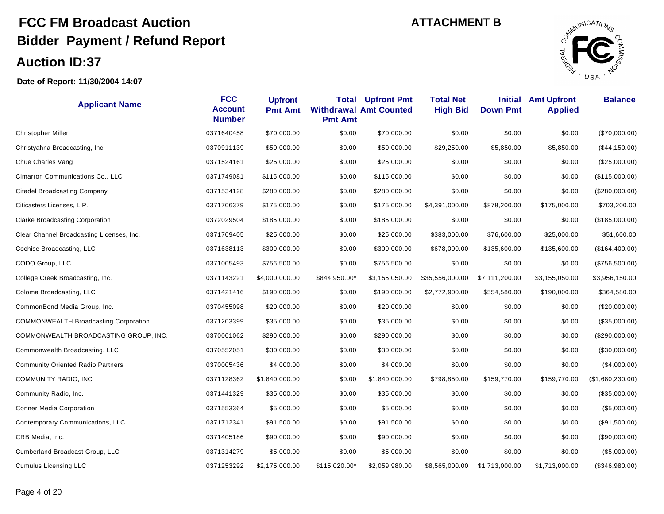

| <b>Applicant Name</b>                        | <b>FCC</b><br><b>Account</b><br><b>Number</b> | <b>Upfront</b><br><b>Pmt Amt</b> | Total<br><b>Pmt Amt</b> | <b>Upfront Pmt</b><br><b>Withdrawal Amt Counted</b> | <b>Total Net</b><br><b>High Bid</b> | <b>Initial</b><br><b>Down Pmt</b> | <b>Amt Upfront</b><br><b>Applied</b> | <b>Balance</b>   |
|----------------------------------------------|-----------------------------------------------|----------------------------------|-------------------------|-----------------------------------------------------|-------------------------------------|-----------------------------------|--------------------------------------|------------------|
| <b>Christopher Miller</b>                    | 0371640458                                    | \$70,000.00                      | \$0.00                  | \$70,000.00                                         | \$0.00                              | \$0.00                            | \$0.00                               | (\$70,000.00)    |
| Christyahna Broadcasting, Inc.               | 0370911139                                    | \$50,000.00                      | \$0.00                  | \$50,000.00                                         | \$29,250.00                         | \$5,850.00                        | \$5,850.00                           | (\$44,150.00)    |
| Chue Charles Vang                            | 0371524161                                    | \$25,000.00                      | \$0.00                  | \$25,000.00                                         | \$0.00                              | \$0.00                            | \$0.00                               | (\$25,000.00)    |
| Cimarron Communications Co., LLC             | 0371749081                                    | \$115,000.00                     | \$0.00                  | \$115,000.00                                        | \$0.00                              | \$0.00                            | \$0.00                               | (\$115,000.00)   |
| <b>Citadel Broadcasting Company</b>          | 0371534128                                    | \$280,000.00                     | \$0.00                  | \$280,000.00                                        | \$0.00                              | \$0.00                            | \$0.00                               | (\$280,000.00)   |
| Citicasters Licenses, L.P.                   | 0371706379                                    | \$175,000.00                     | \$0.00                  | \$175,000.00                                        | \$4,391,000.00                      | \$878,200.00                      | \$175,000.00                         | \$703,200.00     |
| <b>Clarke Broadcasting Corporation</b>       | 0372029504                                    | \$185,000.00                     | \$0.00                  | \$185,000.00                                        | \$0.00                              | \$0.00                            | \$0.00                               | (\$185,000.00)   |
| Clear Channel Broadcasting Licenses, Inc.    | 0371709405                                    | \$25,000.00                      | \$0.00                  | \$25,000.00                                         | \$383,000.00                        | \$76,600.00                       | \$25,000.00                          | \$51,600.00      |
| Cochise Broadcasting, LLC                    | 0371638113                                    | \$300,000.00                     | \$0.00                  | \$300,000.00                                        | \$678,000.00                        | \$135,600.00                      | \$135,600.00                         | (\$164,400.00)   |
| CODO Group, LLC                              | 0371005493                                    | \$756,500.00                     | \$0.00                  | \$756,500.00                                        | \$0.00                              | \$0.00                            | \$0.00                               | (\$756,500.00)   |
| College Creek Broadcasting, Inc.             | 0371143221                                    | \$4,000,000.00                   | \$844,950.00*           | \$3,155,050.00                                      | \$35,556,000.00                     | \$7,111,200.00                    | \$3,155,050.00                       | \$3,956,150.00   |
| Coloma Broadcasting, LLC                     | 0371421416                                    | \$190,000.00                     | \$0.00                  | \$190,000.00                                        | \$2,772,900.00                      | \$554,580.00                      | \$190,000.00                         | \$364,580.00     |
| CommonBond Media Group, Inc.                 | 0370455098                                    | \$20,000.00                      | \$0.00                  | \$20,000.00                                         | \$0.00                              | \$0.00                            | \$0.00                               | (\$20,000.00)    |
| <b>COMMONWEALTH Broadcasting Corporation</b> | 0371203399                                    | \$35,000.00                      | \$0.00                  | \$35,000.00                                         | \$0.00                              | \$0.00                            | \$0.00                               | (\$35,000.00)    |
| COMMONWEALTH BROADCASTING GROUP, INC.        | 0370001062                                    | \$290,000.00                     | \$0.00                  | \$290,000.00                                        | \$0.00                              | \$0.00                            | \$0.00                               | (\$290,000.00)   |
| Commonwealth Broadcasting, LLC               | 0370552051                                    | \$30,000.00                      | \$0.00                  | \$30,000.00                                         | \$0.00                              | \$0.00                            | \$0.00                               | (\$30,000.00)    |
| <b>Community Oriented Radio Partners</b>     | 0370005436                                    | \$4,000.00                       | \$0.00                  | \$4,000.00                                          | \$0.00                              | \$0.00                            | \$0.00                               | (\$4,000.00)     |
| COMMUNITY RADIO, INC                         | 0371128362                                    | \$1,840,000.00                   | \$0.00                  | \$1,840,000.00                                      | \$798,850.00                        | \$159,770.00                      | \$159,770.00                         | (\$1,680,230.00) |
| Community Radio, Inc.                        | 0371441329                                    | \$35,000.00                      | \$0.00                  | \$35,000.00                                         | \$0.00                              | \$0.00                            | \$0.00                               | (\$35,000.00)    |
| <b>Conner Media Corporation</b>              | 0371553364                                    | \$5,000.00                       | \$0.00                  | \$5,000.00                                          | \$0.00                              | \$0.00                            | \$0.00                               | (\$5,000.00)     |
| Contemporary Communications, LLC             | 0371712341                                    | \$91,500.00                      | \$0.00                  | \$91,500.00                                         | \$0.00                              | \$0.00                            | \$0.00                               | (\$91,500.00)    |
| CRB Media, Inc.                              | 0371405186                                    | \$90,000.00                      | \$0.00                  | \$90,000.00                                         | \$0.00                              | \$0.00                            | \$0.00                               | (\$90,000.00)    |
| Cumberland Broadcast Group, LLC              | 0371314279                                    | \$5,000.00                       | \$0.00                  | \$5,000.00                                          | \$0.00                              | \$0.00                            | \$0.00                               | (\$5,000.00)     |
| <b>Cumulus Licensing LLC</b>                 | 0371253292                                    | \$2,175,000.00                   | \$115,020.00*           | \$2,059,980.00                                      | \$8,565,000.00                      | \$1,713,000.00                    | \$1,713,000.00                       | (\$346,980.00)   |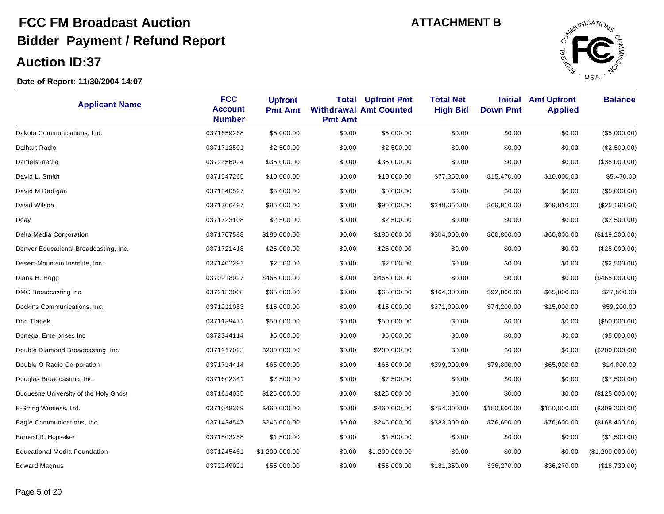

| <b>Applicant Name</b>                 | <b>FCC</b><br><b>Account</b><br><b>Number</b> | <b>Upfront</b><br><b>Pmt Amt</b> | <b>Total</b><br><b>Pmt Amt</b> | <b>Upfront Pmt</b><br><b>Withdrawal Amt Counted</b> | <b>Total Net</b><br><b>High Bid</b> | <b>Initial</b><br><b>Down Pmt</b> | <b>Amt Upfront</b><br><b>Applied</b> | <b>Balance</b>   |
|---------------------------------------|-----------------------------------------------|----------------------------------|--------------------------------|-----------------------------------------------------|-------------------------------------|-----------------------------------|--------------------------------------|------------------|
| Dakota Communications, Ltd.           | 0371659268                                    | \$5,000.00                       | \$0.00                         | \$5,000.00                                          | \$0.00                              | \$0.00                            | \$0.00                               | (\$5,000.00)     |
| Dalhart Radio                         | 0371712501                                    | \$2,500.00                       | \$0.00                         | \$2,500.00                                          | \$0.00                              | \$0.00                            | \$0.00                               | (\$2,500.00)     |
| Daniels media                         | 0372356024                                    | \$35,000.00                      | \$0.00                         | \$35,000.00                                         | \$0.00                              | \$0.00                            | \$0.00                               | (\$35,000.00)    |
| David L. Smith                        | 0371547265                                    | \$10,000.00                      | \$0.00                         | \$10,000.00                                         | \$77,350.00                         | \$15,470.00                       | \$10,000.00                          | \$5,470.00       |
| David M Radigan                       | 0371540597                                    | \$5,000.00                       | \$0.00                         | \$5,000.00                                          | \$0.00                              | \$0.00                            | \$0.00                               | (\$5,000.00)     |
| David Wilson                          | 0371706497                                    | \$95,000.00                      | \$0.00                         | \$95,000.00                                         | \$349,050.00                        | \$69,810.00                       | \$69,810.00                          | (\$25,190.00)    |
| Dday                                  | 0371723108                                    | \$2,500.00                       | \$0.00                         | \$2,500.00                                          | \$0.00                              | \$0.00                            | \$0.00                               | (\$2,500.00)     |
| Delta Media Corporation               | 0371707588                                    | \$180,000.00                     | \$0.00                         | \$180,000.00                                        | \$304,000.00                        | \$60,800.00                       | \$60,800.00                          | (\$119,200.00)   |
| Denver Educational Broadcasting, Inc. | 0371721418                                    | \$25,000.00                      | \$0.00                         | \$25,000.00                                         | \$0.00                              | \$0.00                            | \$0.00                               | $(\$25,000.00)$  |
| Desert-Mountain Institute, Inc.       | 0371402291                                    | \$2,500.00                       | \$0.00                         | \$2,500.00                                          | \$0.00                              | \$0.00                            | \$0.00                               | (\$2,500.00)     |
| Diana H. Hogg                         | 0370918027                                    | \$465,000.00                     | \$0.00                         | \$465,000.00                                        | \$0.00                              | \$0.00                            | \$0.00                               | (\$465,000.00)   |
| DMC Broadcasting Inc.                 | 0372133008                                    | \$65,000.00                      | \$0.00                         | \$65,000.00                                         | \$464,000.00                        | \$92,800.00                       | \$65,000.00                          | \$27,800.00      |
| Dockins Communications, Inc.          | 0371211053                                    | \$15,000.00                      | \$0.00                         | \$15,000.00                                         | \$371,000.00                        | \$74,200.00                       | \$15,000.00                          | \$59,200.00      |
| Don Tlapek                            | 0371139471                                    | \$50,000.00                      | \$0.00                         | \$50,000.00                                         | \$0.00                              | \$0.00                            | \$0.00                               | (\$50,000.00)    |
| Donegal Enterprises Inc               | 0372344114                                    | \$5,000.00                       | \$0.00                         | \$5,000.00                                          | \$0.00                              | \$0.00                            | \$0.00                               | (\$5,000.00)     |
| Double Diamond Broadcasting, Inc.     | 0371917023                                    | \$200,000.00                     | \$0.00                         | \$200,000.00                                        | \$0.00                              | \$0.00                            | \$0.00                               | (\$200,000.00)   |
| Double O Radio Corporation            | 0371714414                                    | \$65,000.00                      | \$0.00                         | \$65,000.00                                         | \$399,000.00                        | \$79,800.00                       | \$65,000.00                          | \$14,800.00      |
| Douglas Broadcasting, Inc.            | 0371602341                                    | \$7,500.00                       | \$0.00                         | \$7,500.00                                          | \$0.00                              | \$0.00                            | \$0.00                               | (\$7,500.00)     |
| Duquesne University of the Holy Ghost | 0371614035                                    | \$125,000.00                     | \$0.00                         | \$125,000.00                                        | \$0.00                              | \$0.00                            | \$0.00                               | (\$125,000.00)   |
| E-String Wireless, Ltd.               | 0371048369                                    | \$460,000.00                     | \$0.00                         | \$460,000.00                                        | \$754,000.00                        | \$150,800.00                      | \$150,800.00                         | (\$309, 200.00)  |
| Eagle Communications, Inc.            | 0371434547                                    | \$245,000.00                     | \$0.00                         | \$245,000.00                                        | \$383,000.00                        | \$76,600.00                       | \$76,600.00                          | (\$168,400.00)   |
| Earnest R. Hopseker                   | 0371503258                                    | \$1,500.00                       | \$0.00                         | \$1,500.00                                          | \$0.00                              | \$0.00                            | \$0.00                               | (\$1,500.00)     |
| <b>Educational Media Foundation</b>   | 0371245461                                    | \$1,200,000.00                   | \$0.00                         | \$1,200,000.00                                      | \$0.00                              | \$0.00                            | \$0.00                               | (\$1,200,000.00) |
| Edward Magnus                         | 0372249021                                    | \$55,000.00                      | \$0.00                         | \$55,000.00                                         | \$181,350.00                        | \$36,270.00                       | \$36,270.00                          | (\$18,730.00)    |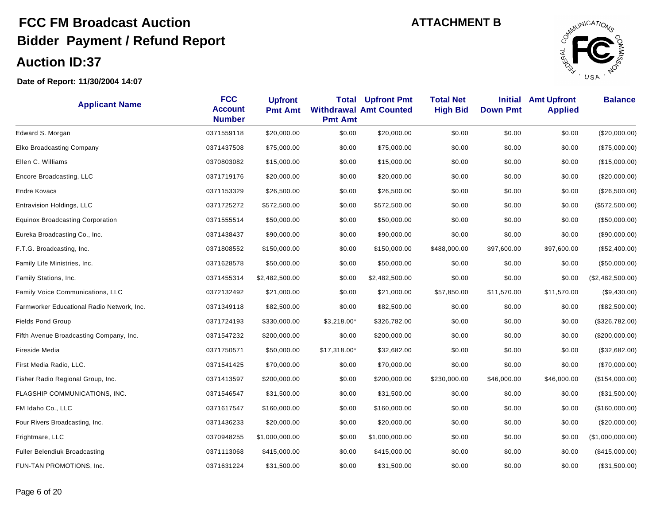

| <b>Applicant Name</b>                      | <b>FCC</b><br><b>Account</b><br><b>Number</b> | <b>Upfront</b><br><b>Pmt Amt</b> | Total<br><b>Pmt Amt</b> | <b>Upfront Pmt</b><br><b>Withdrawal Amt Counted</b> | <b>Total Net</b><br><b>High Bid</b> | <b>Initial</b><br><b>Down Pmt</b> | <b>Amt Upfront</b><br><b>Applied</b> | <b>Balance</b>   |
|--------------------------------------------|-----------------------------------------------|----------------------------------|-------------------------|-----------------------------------------------------|-------------------------------------|-----------------------------------|--------------------------------------|------------------|
| Edward S. Morgan                           | 0371559118                                    | \$20,000.00                      | \$0.00                  | \$20,000.00                                         | \$0.00                              | \$0.00                            | \$0.00                               | (\$20,000.00)    |
| <b>Elko Broadcasting Company</b>           | 0371437508                                    | \$75,000.00                      | \$0.00                  | \$75,000.00                                         | \$0.00                              | \$0.00                            | \$0.00                               | (\$75,000.00)    |
| Ellen C. Williams                          | 0370803082                                    | \$15,000.00                      | \$0.00                  | \$15,000.00                                         | \$0.00                              | \$0.00                            | \$0.00                               | (\$15,000.00)    |
| Encore Broadcasting, LLC                   | 0371719176                                    | \$20,000.00                      | \$0.00                  | \$20,000.00                                         | \$0.00                              | \$0.00                            | \$0.00                               | (\$20,000.00)    |
| Endre Kovacs                               | 0371153329                                    | \$26,500.00                      | \$0.00                  | \$26,500.00                                         | \$0.00                              | \$0.00                            | \$0.00                               | (\$26,500.00)    |
| Entravision Holdings, LLC                  | 0371725272                                    | \$572,500.00                     | \$0.00                  | \$572,500.00                                        | \$0.00                              | \$0.00                            | \$0.00                               | (\$572,500.00)   |
| <b>Equinox Broadcasting Corporation</b>    | 0371555514                                    | \$50,000.00                      | \$0.00                  | \$50,000.00                                         | \$0.00                              | \$0.00                            | \$0.00                               | (\$50,000.00)    |
| Eureka Broadcasting Co., Inc.              | 0371438437                                    | \$90,000.00                      | \$0.00                  | \$90,000.00                                         | \$0.00                              | \$0.00                            | \$0.00                               | (\$90,000.00)    |
| F.T.G. Broadcasting, Inc.                  | 0371808552                                    | \$150,000.00                     | \$0.00                  | \$150,000.00                                        | \$488,000.00                        | \$97,600.00                       | \$97,600.00                          | (\$52,400.00)    |
| Family Life Ministries, Inc.               | 0371628578                                    | \$50,000.00                      | \$0.00                  | \$50,000.00                                         | \$0.00                              | \$0.00                            | \$0.00                               | (\$50,000.00)    |
| Family Stations, Inc.                      | 0371455314                                    | \$2,482,500.00                   | \$0.00                  | \$2,482,500.00                                      | \$0.00                              | \$0.00                            | \$0.00                               | (\$2,482,500.00) |
| Family Voice Communications, LLC           | 0372132492                                    | \$21,000.00                      | \$0.00                  | \$21,000.00                                         | \$57,850.00                         | \$11,570.00                       | \$11,570.00                          | $(\$9,430.00)$   |
| Farmworker Educational Radio Network, Inc. | 0371349118                                    | \$82,500.00                      | \$0.00                  | \$82,500.00                                         | \$0.00                              | \$0.00                            | \$0.00                               | (\$82,500.00)    |
| <b>Fields Pond Group</b>                   | 0371724193                                    | \$330,000.00                     | $$3,218.00*$            | \$326,782.00                                        | \$0.00                              | \$0.00                            | \$0.00                               | (\$326,782.00)   |
| Fifth Avenue Broadcasting Company, Inc.    | 0371547232                                    | \$200,000.00                     | \$0.00                  | \$200,000.00                                        | \$0.00                              | \$0.00                            | \$0.00                               | (\$200,000.00)   |
| Fireside Media                             | 0371750571                                    | \$50,000.00                      | \$17,318.00*            | \$32,682.00                                         | \$0.00                              | \$0.00                            | \$0.00                               | (\$32,682.00)    |
| First Media Radio, LLC.                    | 0371541425                                    | \$70,000.00                      | \$0.00                  | \$70,000.00                                         | \$0.00                              | \$0.00                            | \$0.00                               | $(\$70,000.00)$  |
| Fisher Radio Regional Group, Inc.          | 0371413597                                    | \$200,000.00                     | \$0.00                  | \$200,000.00                                        | \$230,000.00                        | \$46,000.00                       | \$46,000.00                          | (\$154,000.00)   |
| FLAGSHIP COMMUNICATIONS, INC.              | 0371546547                                    | \$31,500.00                      | \$0.00                  | \$31,500.00                                         | \$0.00                              | \$0.00                            | \$0.00                               | (\$31,500.00)    |
| FM Idaho Co., LLC                          | 0371617547                                    | \$160,000.00                     | \$0.00                  | \$160,000.00                                        | \$0.00                              | \$0.00                            | \$0.00                               | (\$160,000.00)   |
| Four Rivers Broadcasting, Inc.             | 0371436233                                    | \$20,000.00                      | \$0.00                  | \$20,000.00                                         | \$0.00                              | \$0.00                            | \$0.00                               | (\$20,000.00)    |
| Frightmare, LLC                            | 0370948255                                    | \$1,000,000.00                   | \$0.00                  | \$1,000,000.00                                      | \$0.00                              | \$0.00                            | \$0.00                               | (\$1,000,000.00) |
| <b>Fuller Belendiuk Broadcasting</b>       | 0371113068                                    | \$415,000.00                     | \$0.00                  | \$415,000.00                                        | \$0.00                              | \$0.00                            | \$0.00                               | (\$415,000.00)   |
| FUN-TAN PROMOTIONS. Inc.                   | 0371631224                                    | \$31,500.00                      | \$0.00                  | \$31,500.00                                         | \$0.00                              | \$0.00                            | \$0.00                               | (\$31,500.00)    |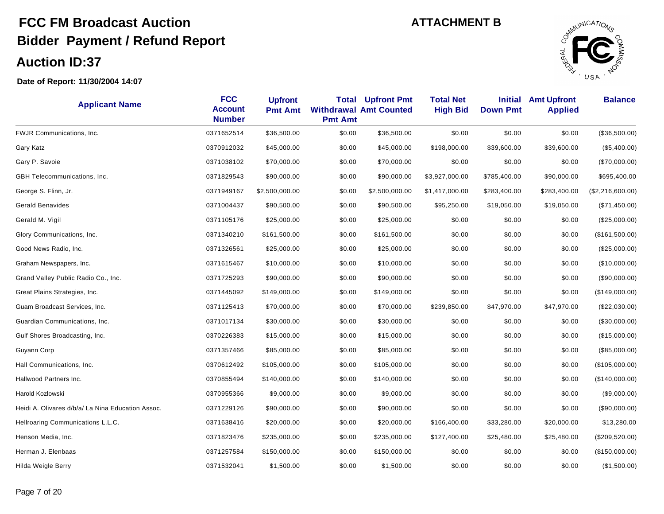

| <b>Applicant Name</b>                             | <b>FCC</b><br><b>Account</b><br><b>Number</b> | <b>Upfront</b><br><b>Pmt Amt</b> | <b>Total</b><br><b>Pmt Amt</b> | <b>Upfront Pmt</b><br><b>Withdrawal Amt Counted</b> | <b>Total Net</b><br><b>High Bid</b> | <b>Initial</b><br><b>Down Pmt</b> | <b>Amt Upfront</b><br><b>Applied</b> | <b>Balance</b>   |
|---------------------------------------------------|-----------------------------------------------|----------------------------------|--------------------------------|-----------------------------------------------------|-------------------------------------|-----------------------------------|--------------------------------------|------------------|
| FWJR Communications, Inc.                         | 0371652514                                    | \$36,500.00                      | \$0.00                         | \$36,500.00                                         | \$0.00                              | \$0.00                            | \$0.00                               | (\$36,500.00)    |
| Gary Katz                                         | 0370912032                                    | \$45,000.00                      | \$0.00                         | \$45,000.00                                         | \$198,000.00                        | \$39,600.00                       | \$39,600.00                          | (\$5,400.00)     |
| Gary P. Savoie                                    | 0371038102                                    | \$70,000.00                      | \$0.00                         | \$70,000.00                                         | \$0.00                              | \$0.00                            | \$0.00                               | (\$70,000.00)    |
| <b>GBH</b> Telecommunications, Inc.               | 0371829543                                    | \$90,000.00                      | \$0.00                         | \$90,000.00                                         | \$3,927,000.00                      | \$785,400.00                      | \$90,000.00                          | \$695,400.00     |
| George S. Flinn, Jr.                              | 0371949167                                    | \$2,500,000.00                   | \$0.00                         | \$2,500,000.00                                      | \$1,417,000.00                      | \$283,400.00                      | \$283,400.00                         | (\$2,216,600.00) |
| <b>Gerald Benavides</b>                           | 0371004437                                    | \$90,500.00                      | \$0.00                         | \$90,500.00                                         | \$95,250.00                         | \$19,050.00                       | \$19,050.00                          | (\$71,450.00)    |
| Gerald M. Vigil                                   | 0371105176                                    | \$25,000.00                      | \$0.00                         | \$25,000.00                                         | \$0.00                              | \$0.00                            | \$0.00                               | (\$25,000.00)    |
| Glory Communications, Inc.                        | 0371340210                                    | \$161,500.00                     | \$0.00                         | \$161,500.00                                        | \$0.00                              | \$0.00                            | \$0.00                               | (\$161,500.00)   |
| Good News Radio, Inc.                             | 0371326561                                    | \$25,000.00                      | \$0.00                         | \$25,000.00                                         | \$0.00                              | \$0.00                            | \$0.00                               | (\$25,000.00)    |
| Graham Newspapers, Inc.                           | 0371615467                                    | \$10,000.00                      | \$0.00                         | \$10,000.00                                         | \$0.00                              | \$0.00                            | \$0.00                               | (\$10,000.00)    |
| Grand Valley Public Radio Co., Inc.               | 0371725293                                    | \$90,000.00                      | \$0.00                         | \$90,000.00                                         | \$0.00                              | \$0.00                            | \$0.00                               | (\$90,000.00)    |
| Great Plains Strategies, Inc.                     | 0371445092                                    | \$149,000.00                     | \$0.00                         | \$149,000.00                                        | \$0.00                              | \$0.00                            | \$0.00                               | (\$149,000.00)   |
| Guam Broadcast Services, Inc.                     | 0371125413                                    | \$70,000.00                      | \$0.00                         | \$70,000.00                                         | \$239,850.00                        | \$47,970.00                       | \$47,970.00                          | (\$22,030.00)    |
| Guardian Communications, Inc.                     | 0371017134                                    | \$30,000.00                      | \$0.00                         | \$30,000.00                                         | \$0.00                              | \$0.00                            | \$0.00                               | (\$30,000.00)    |
| Gulf Shores Broadcasting, Inc.                    | 0370226383                                    | \$15,000.00                      | \$0.00                         | \$15,000.00                                         | \$0.00                              | \$0.00                            | \$0.00                               | (\$15,000.00)    |
| Guyann Corp                                       | 0371357466                                    | \$85,000.00                      | \$0.00                         | \$85,000.00                                         | \$0.00                              | \$0.00                            | \$0.00                               | (\$85,000.00)    |
| Hall Communications, Inc.                         | 0370612492                                    | \$105,000.00                     | \$0.00                         | \$105,000.00                                        | \$0.00                              | \$0.00                            | \$0.00                               | (\$105,000.00)   |
| Hallwood Partners Inc.                            | 0370855494                                    | \$140,000.00                     | \$0.00                         | \$140,000.00                                        | \$0.00                              | \$0.00                            | \$0.00                               | (\$140,000.00)   |
| Harold Kozlowski                                  | 0370955366                                    | \$9,000.00                       | \$0.00                         | \$9,000.00                                          | \$0.00                              | \$0.00                            | \$0.00                               | (\$9,000.00)     |
| Heidi A. Olivares d/b/a/ La Nina Education Assoc. | 0371229126                                    | \$90,000.00                      | \$0.00                         | \$90,000.00                                         | \$0.00                              | \$0.00                            | \$0.00                               | (\$90,000.00)    |
| Hellroaring Communications L.L.C.                 | 0371638416                                    | \$20,000.00                      | \$0.00                         | \$20,000.00                                         | \$166,400.00                        | \$33,280.00                       | \$20,000.00                          | \$13,280.00      |
| Henson Media, Inc.                                | 0371823476                                    | \$235,000.00                     | \$0.00                         | \$235,000.00                                        | \$127,400.00                        | \$25,480.00                       | \$25,480.00                          | (\$209,520.00)   |
| Herman J. Elenbaas                                | 0371257584                                    | \$150,000.00                     | \$0.00                         | \$150,000.00                                        | \$0.00                              | \$0.00                            | \$0.00                               | (\$150,000.00)   |
| Hilda Weigle Berry                                | 0371532041                                    | \$1,500.00                       | \$0.00                         | \$1,500.00                                          | \$0.00                              | \$0.00                            | \$0.00                               | (\$1,500.00)     |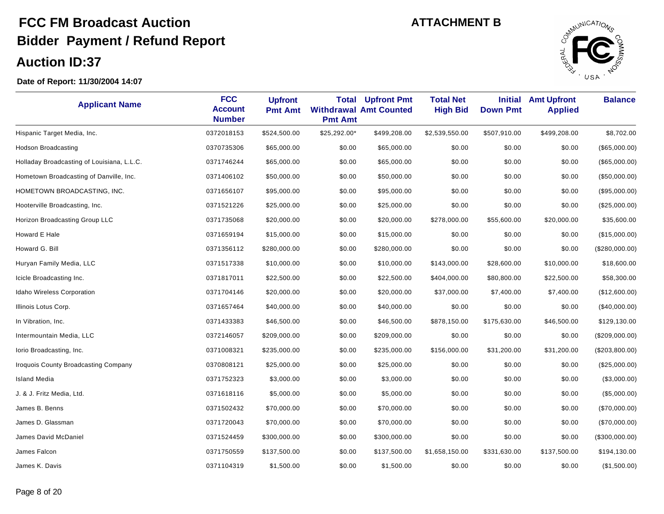

| <b>Applicant Name</b>                       | <b>FCC</b><br><b>Account</b><br><b>Number</b> | <b>Upfront</b><br><b>Pmt Amt</b> | <b>Total</b><br><b>Pmt Amt</b> | <b>Upfront Pmt</b><br><b>Withdrawal Amt Counted</b> | <b>Total Net</b><br><b>High Bid</b> | <b>Initial</b><br><b>Down Pmt</b> | <b>Amt Upfront</b><br><b>Applied</b> | <b>Balance</b> |
|---------------------------------------------|-----------------------------------------------|----------------------------------|--------------------------------|-----------------------------------------------------|-------------------------------------|-----------------------------------|--------------------------------------|----------------|
| Hispanic Target Media, Inc.                 | 0372018153                                    | \$524,500.00                     | \$25,292.00*                   | \$499,208.00                                        | \$2,539,550.00                      | \$507,910.00                      | \$499,208.00                         | \$8,702.00     |
| Hodson Broadcasting                         | 0370735306                                    | \$65,000.00                      | \$0.00                         | \$65,000.00                                         | \$0.00                              | \$0.00                            | \$0.00                               | (\$65,000.00)  |
| Holladay Broadcasting of Louisiana, L.L.C.  | 0371746244                                    | \$65,000.00                      | \$0.00                         | \$65,000.00                                         | \$0.00                              | \$0.00                            | \$0.00                               | (\$65,000.00)  |
| Hometown Broadcasting of Danville, Inc.     | 0371406102                                    | \$50,000.00                      | \$0.00                         | \$50,000.00                                         | \$0.00                              | \$0.00                            | \$0.00                               | (\$50,000.00)  |
| HOMETOWN BROADCASTING, INC.                 | 0371656107                                    | \$95,000.00                      | \$0.00                         | \$95,000.00                                         | \$0.00                              | \$0.00                            | \$0.00                               | (\$95,000.00)  |
| Hooterville Broadcasting, Inc.              | 0371521226                                    | \$25,000.00                      | \$0.00                         | \$25,000.00                                         | \$0.00                              | \$0.00                            | \$0.00                               | (\$25,000.00)  |
| Horizon Broadcasting Group LLC              | 0371735068                                    | \$20,000.00                      | \$0.00                         | \$20,000.00                                         | \$278,000.00                        | \$55,600.00                       | \$20,000.00                          | \$35,600.00    |
| Howard E Hale                               | 0371659194                                    | \$15,000.00                      | \$0.00                         | \$15,000.00                                         | \$0.00                              | \$0.00                            | \$0.00                               | (\$15,000.00)  |
| Howard G. Bill                              | 0371356112                                    | \$280,000.00                     | \$0.00                         | \$280,000.00                                        | \$0.00                              | \$0.00                            | \$0.00                               | (\$280,000.00) |
| Huryan Family Media, LLC                    | 0371517338                                    | \$10,000.00                      | \$0.00                         | \$10,000.00                                         | \$143,000.00                        | \$28,600.00                       | \$10,000.00                          | \$18,600.00    |
| Icicle Broadcasting Inc.                    | 0371817011                                    | \$22,500.00                      | \$0.00                         | \$22,500.00                                         | \$404,000.00                        | \$80,800.00                       | \$22,500.00                          | \$58,300.00    |
| <b>Idaho Wireless Corporation</b>           | 0371704146                                    | \$20,000.00                      | \$0.00                         | \$20,000.00                                         | \$37,000.00                         | \$7,400.00                        | \$7,400.00                           | (\$12,600.00)  |
| Illinois Lotus Corp.                        | 0371657464                                    | \$40,000.00                      | \$0.00                         | \$40,000.00                                         | \$0.00                              | \$0.00                            | \$0.00                               | (\$40,000.00)  |
| In Vibration, Inc.                          | 0371433383                                    | \$46,500.00                      | \$0.00                         | \$46,500.00                                         | \$878,150.00                        | \$175,630.00                      | \$46,500.00                          | \$129,130.00   |
| Intermountain Media, LLC                    | 0372146057                                    | \$209,000.00                     | \$0.00                         | \$209,000.00                                        | \$0.00                              | \$0.00                            | \$0.00                               | (\$209,000.00) |
| lorio Broadcasting, Inc.                    | 0371008321                                    | \$235,000.00                     | \$0.00                         | \$235,000.00                                        | \$156,000.00                        | \$31,200.00                       | \$31,200.00                          | (\$203,800.00) |
| <b>Iroquois County Broadcasting Company</b> | 0370808121                                    | \$25,000.00                      | \$0.00                         | \$25,000.00                                         | \$0.00                              | \$0.00                            | \$0.00                               | (\$25,000.00)  |
| <b>Island Media</b>                         | 0371752323                                    | \$3,000.00                       | \$0.00                         | \$3,000.00                                          | \$0.00                              | \$0.00                            | \$0.00                               | (\$3,000.00)   |
| J. & J. Fritz Media, Ltd.                   | 0371618116                                    | \$5,000.00                       | \$0.00                         | \$5,000.00                                          | \$0.00                              | \$0.00                            | \$0.00                               | (\$5,000.00)   |
| James B. Benns                              | 0371502432                                    | \$70,000.00                      | \$0.00                         | \$70,000.00                                         | \$0.00                              | \$0.00                            | \$0.00                               | (\$70,000.00)  |
| James D. Glassman                           | 0371720043                                    | \$70,000.00                      | \$0.00                         | \$70,000.00                                         | \$0.00                              | \$0.00                            | \$0.00                               | (\$70,000.00)  |
| James David McDaniel                        | 0371524459                                    | \$300,000.00                     | \$0.00                         | \$300,000.00                                        | \$0.00                              | \$0.00                            | \$0.00                               | (\$300,000.00) |
| James Falcon                                | 0371750559                                    | \$137,500.00                     | \$0.00                         | \$137,500.00                                        | \$1,658,150.00                      | \$331,630.00                      | \$137,500.00                         | \$194,130.00   |
| James K. Davis                              | 0371104319                                    | \$1,500.00                       | \$0.00                         | \$1,500.00                                          | \$0.00                              | \$0.00                            | \$0.00                               | (\$1,500.00)   |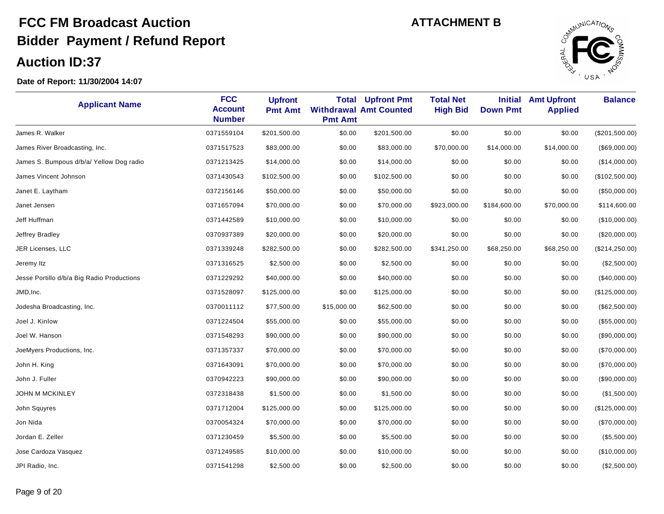

| <b>Applicant Name</b>                      | <b>FCC</b><br><b>Account</b><br><b>Number</b> | <b>Upfront</b><br><b>Pmt Amt</b> | <b>Total</b><br><b>Pmt Amt</b> | <b>Upfront Pmt</b><br><b>Withdrawal Amt Counted</b> | <b>Total Net</b><br><b>High Bid</b> | <b>Initial</b><br><b>Down Pmt</b> | <b>Amt Upfront</b><br><b>Applied</b> | <b>Balance</b>  |
|--------------------------------------------|-----------------------------------------------|----------------------------------|--------------------------------|-----------------------------------------------------|-------------------------------------|-----------------------------------|--------------------------------------|-----------------|
| James R. Walker                            | 0371559104                                    | \$201,500.00                     | \$0.00                         | \$201,500.00                                        | \$0.00                              | \$0.00                            | \$0.00                               | (\$201,500.00)  |
| James River Broadcasting, Inc.             | 0371517523                                    | \$83,000.00                      | \$0.00                         | \$83,000.00                                         | \$70,000.00                         | \$14,000.00                       | \$14,000.00                          | (\$69,000.00)   |
| James S. Bumpous d/b/a/ Yellow Dog radio   | 0371213425                                    | \$14,000.00                      | \$0.00                         | \$14,000.00                                         | \$0.00                              | \$0.00                            | \$0.00                               | (\$14,000.00)   |
| James Vincent Johnson                      | 0371430543                                    | \$102,500.00                     | \$0.00                         | \$102,500.00                                        | \$0.00                              | \$0.00                            | \$0.00                               | (\$102,500.00)  |
| Janet E. Laytham                           | 0372156146                                    | \$50,000.00                      | \$0.00                         | \$50,000.00                                         | \$0.00                              | \$0.00                            | \$0.00                               | (\$50,000.00)   |
| Janet Jensen                               | 0371657094                                    | \$70,000.00                      | \$0.00                         | \$70,000.00                                         | \$923,000.00                        | \$184,600.00                      | \$70,000.00                          | \$114,600.00    |
| Jeff Huffman                               | 0371442589                                    | \$10,000.00                      | \$0.00                         | \$10,000.00                                         | \$0.00                              | \$0.00                            | \$0.00                               | (\$10,000.00)   |
| Jeffrey Bradley                            | 0370937389                                    | \$20,000.00                      | \$0.00                         | \$20,000.00                                         | \$0.00                              | \$0.00                            | \$0.00                               | $(\$20,000.00)$ |
| JER Licenses, LLC                          | 0371339248                                    | \$282,500.00                     | \$0.00                         | \$282,500.00                                        | \$341,250.00                        | \$68,250.00                       | \$68,250.00                          | (\$214, 250.00) |
| Jeremy Itz                                 | 0371316525                                    | \$2,500.00                       | \$0.00                         | \$2,500.00                                          | \$0.00                              | \$0.00                            | \$0.00                               | (\$2,500.00)    |
| Jesse Portillo d/b/a Big Radio Productions | 0371229292                                    | \$40,000.00                      | \$0.00                         | \$40,000.00                                         | \$0.00                              | \$0.00                            | \$0.00                               | (\$40,000.00)   |
| JMD, Inc.                                  | 0371528097                                    | \$125,000.00                     | \$0.00                         | \$125,000.00                                        | \$0.00                              | \$0.00                            | \$0.00                               | (\$125,000.00)  |
| Jodesha Broadcasting, Inc.                 | 0370011112                                    | \$77,500.00                      | \$15,000.00                    | \$62,500.00                                         | \$0.00                              | \$0.00                            | \$0.00                               | (\$62,500.00)   |
| Joel J. Kinlow                             | 0371224504                                    | \$55,000.00                      | \$0.00                         | \$55,000.00                                         | \$0.00                              | \$0.00                            | \$0.00                               | (\$55,000.00)   |
| Joel W. Hanson                             | 0371548293                                    | \$90,000.00                      | \$0.00                         | \$90,000.00                                         | \$0.00                              | \$0.00                            | \$0.00                               | (\$90,000.00)   |
| JoeMyers Productions, Inc.                 | 0371357337                                    | \$70,000.00                      | \$0.00                         | \$70,000.00                                         | \$0.00                              | \$0.00                            | \$0.00                               | (\$70,000.00)   |
| John H. King                               | 0371643091                                    | \$70,000.00                      | \$0.00                         | \$70,000.00                                         | \$0.00                              | \$0.00                            | \$0.00                               | (\$70,000.00)   |
| John J. Fuller                             | 0370942223                                    | \$90,000.00                      | \$0.00                         | \$90,000.00                                         | \$0.00                              | \$0.00                            | \$0.00                               | (\$90,000.00)   |
| JOHN M MCKINLEY                            | 0372318438                                    | \$1,500.00                       | \$0.00                         | \$1,500.00                                          | \$0.00                              | \$0.00                            | \$0.00                               | (\$1,500.00)    |
| John Squyres                               | 0371712004                                    | \$125,000.00                     | \$0.00                         | \$125,000.00                                        | \$0.00                              | \$0.00                            | \$0.00                               | (\$125,000.00)  |
| Jon Nida                                   | 0370054324                                    | \$70,000.00                      | \$0.00                         | \$70,000.00                                         | \$0.00                              | \$0.00                            | \$0.00                               | (\$70,000.00)   |
| Jordan E. Zeller                           | 0371230459                                    | \$5,500.00                       | \$0.00                         | \$5,500.00                                          | \$0.00                              | \$0.00                            | \$0.00                               | (\$5,500.00)    |
| Jose Cardoza Vasquez                       | 0371249585                                    | \$10,000.00                      | \$0.00                         | \$10,000.00                                         | \$0.00                              | \$0.00                            | \$0.00                               | (\$10,000.00)   |
| JPI Radio, Inc.                            | 0371541298                                    | \$2,500.00                       | \$0.00                         | \$2,500.00                                          | \$0.00                              | \$0.00                            | \$0.00                               | (\$2,500.00)    |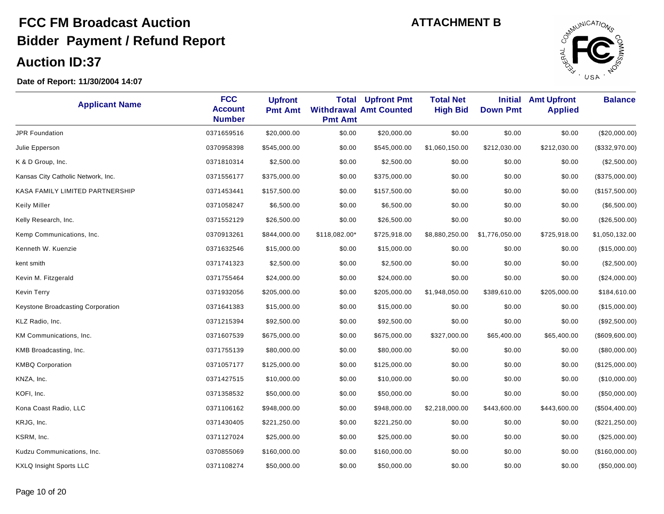

| <b>Applicant Name</b>              | <b>FCC</b><br><b>Account</b><br><b>Number</b> | <b>Upfront</b><br><b>Pmt Amt</b> | Total<br><b>Pmt Amt</b> | <b>Upfront Pmt</b><br><b>Withdrawal Amt Counted</b> | <b>Total Net</b><br><b>High Bid</b> | <b>Initial</b><br><b>Down Pmt</b> | <b>Amt Upfront</b><br><b>Applied</b> | <b>Balance</b>  |
|------------------------------------|-----------------------------------------------|----------------------------------|-------------------------|-----------------------------------------------------|-------------------------------------|-----------------------------------|--------------------------------------|-----------------|
| <b>JPR Foundation</b>              | 0371659516                                    | \$20,000.00                      | \$0.00                  | \$20,000.00                                         | \$0.00                              | \$0.00                            | \$0.00                               | (\$20,000.00)   |
| Julie Epperson                     | 0370958398                                    | \$545,000.00                     | \$0.00                  | \$545,000.00                                        | \$1,060,150.00                      | \$212,030.00                      | \$212,030.00                         | (\$332,970.00)  |
| K & D Group, Inc.                  | 0371810314                                    | \$2,500.00                       | \$0.00                  | \$2,500.00                                          | \$0.00                              | \$0.00                            | \$0.00                               | (\$2,500.00)    |
| Kansas City Catholic Network, Inc. | 0371556177                                    | \$375,000.00                     | \$0.00                  | \$375,000.00                                        | \$0.00                              | \$0.00                            | \$0.00                               | (\$375,000.00)  |
| KASA FAMILY LIMITED PARTNERSHIP    | 0371453441                                    | \$157,500.00                     | \$0.00                  | \$157,500.00                                        | \$0.00                              | \$0.00                            | \$0.00                               | (\$157,500.00)  |
| <b>Keily Miller</b>                | 0371058247                                    | \$6,500.00                       | \$0.00                  | \$6,500.00                                          | \$0.00                              | \$0.00                            | \$0.00                               | (\$6,500.00)    |
| Kelly Research, Inc.               | 0371552129                                    | \$26,500.00                      | \$0.00                  | \$26,500.00                                         | \$0.00                              | \$0.00                            | \$0.00                               | (\$26,500.00)   |
| Kemp Communications, Inc.          | 0370913261                                    | \$844,000.00                     | \$118,082.00*           | \$725,918.00                                        | \$8,880,250.00                      | \$1,776,050.00                    | \$725,918.00                         | \$1,050,132.00  |
| Kenneth W. Kuenzie                 | 0371632546                                    | \$15,000.00                      | \$0.00                  | \$15,000.00                                         | \$0.00                              | \$0.00                            | \$0.00                               | (\$15,000.00)   |
| kent smith                         | 0371741323                                    | \$2,500.00                       | \$0.00                  | \$2,500.00                                          | \$0.00                              | \$0.00                            | \$0.00                               | (\$2,500.00)    |
| Kevin M. Fitzgerald                | 0371755464                                    | \$24,000.00                      | \$0.00                  | \$24,000.00                                         | \$0.00                              | \$0.00                            | \$0.00                               | (\$24,000.00)   |
| Kevin Terry                        | 0371932056                                    | \$205,000.00                     | \$0.00                  | \$205,000.00                                        | \$1,948,050.00                      | \$389,610.00                      | \$205,000.00                         | \$184,610.00    |
| Keystone Broadcasting Corporation  | 0371641383                                    | \$15,000.00                      | \$0.00                  | \$15,000.00                                         | \$0.00                              | \$0.00                            | \$0.00                               | (\$15,000.00)   |
| KLZ Radio, Inc.                    | 0371215394                                    | \$92,500.00                      | \$0.00                  | \$92,500.00                                         | \$0.00                              | \$0.00                            | \$0.00                               | (\$92,500.00)   |
| KM Communications, Inc.            | 0371607539                                    | \$675,000.00                     | \$0.00                  | \$675,000.00                                        | \$327,000.00                        | \$65,400.00                       | \$65,400.00                          | (\$609,600.00)  |
| KMB Broadcasting, Inc.             | 0371755139                                    | \$80,000.00                      | \$0.00                  | \$80,000.00                                         | \$0.00                              | \$0.00                            | \$0.00                               | $(\$80,000.00)$ |
| <b>KMBQ Corporation</b>            | 0371057177                                    | \$125,000.00                     | \$0.00                  | \$125,000.00                                        | \$0.00                              | \$0.00                            | \$0.00                               | (\$125,000.00)  |
| KNZA, Inc.                         | 0371427515                                    | \$10,000.00                      | \$0.00                  | \$10,000.00                                         | \$0.00                              | \$0.00                            | \$0.00                               | (\$10,000.00)   |
| KOFI, Inc.                         | 0371358532                                    | \$50,000.00                      | \$0.00                  | \$50,000.00                                         | \$0.00                              | \$0.00                            | \$0.00                               | (\$50,000.00)   |
| Kona Coast Radio, LLC              | 0371106162                                    | \$948,000.00                     | \$0.00                  | \$948,000.00                                        | \$2,218,000.00                      | \$443,600.00                      | \$443,600.00                         | (\$504,400.00)  |
| KRJG, Inc.                         | 0371430405                                    | \$221,250.00                     | \$0.00                  | \$221,250.00                                        | \$0.00                              | \$0.00                            | \$0.00                               | (\$221, 250.00) |
| KSRM, Inc.                         | 0371127024                                    | \$25,000.00                      | \$0.00                  | \$25,000.00                                         | \$0.00                              | \$0.00                            | \$0.00                               | (\$25,000.00)   |
| Kudzu Communications, Inc.         | 0370855069                                    | \$160,000.00                     | \$0.00                  | \$160,000.00                                        | \$0.00                              | \$0.00                            | \$0.00                               | (\$160,000.00)  |
| <b>KXLQ Insight Sports LLC</b>     | 0371108274                                    | \$50,000.00                      | \$0.00                  | \$50,000.00                                         | \$0.00                              | \$0.00                            | \$0.00                               | (\$50,000.00)   |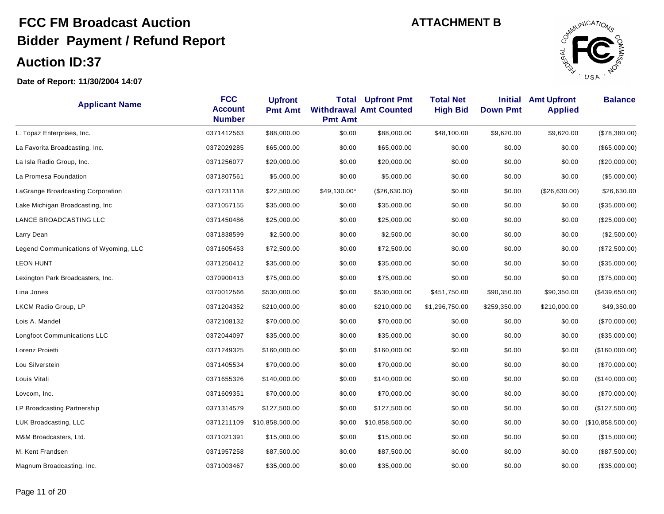

| <b>Applicant Name</b>                 | <b>FCC</b><br><b>Account</b><br><b>Number</b> | <b>Upfront</b><br><b>Pmt Amt</b> | Total<br><b>Pmt Amt</b> | <b>Upfront Pmt</b><br><b>Withdrawal Amt Counted</b> | <b>Total Net</b><br><b>High Bid</b> | <b>Initial</b><br><b>Down Pmt</b> | <b>Amt Upfront</b><br><b>Applied</b> | <b>Balance</b>    |
|---------------------------------------|-----------------------------------------------|----------------------------------|-------------------------|-----------------------------------------------------|-------------------------------------|-----------------------------------|--------------------------------------|-------------------|
| L. Topaz Enterprises, Inc.            | 0371412563                                    | \$88,000.00                      | \$0.00                  | \$88,000.00                                         | \$48,100.00                         | \$9,620.00                        | \$9,620.00                           | (\$78,380.00)     |
| La Favorita Broadcasting, Inc.        | 0372029285                                    | \$65,000.00                      | \$0.00                  | \$65,000.00                                         | \$0.00                              | \$0.00                            | \$0.00                               | (\$65,000.00)     |
| La Isla Radio Group, Inc.             | 0371256077                                    | \$20,000.00                      | \$0.00                  | \$20,000.00                                         | \$0.00                              | \$0.00                            | \$0.00                               | $(\$20,000.00)$   |
| La Promesa Foundation                 | 0371807561                                    | \$5,000.00                       | \$0.00                  | \$5,000.00                                          | \$0.00                              | \$0.00                            | \$0.00                               | (\$5,000.00)      |
| LaGrange Broadcasting Corporation     | 0371231118                                    | \$22,500.00                      | \$49,130.00*            | (\$26,630.00)                                       | \$0.00                              | \$0.00                            | (\$26,630.00)                        | \$26,630.00       |
| Lake Michigan Broadcasting, Inc       | 0371057155                                    | \$35,000.00                      | \$0.00                  | \$35,000.00                                         | \$0.00                              | \$0.00                            | \$0.00                               | (\$35,000.00)     |
| LANCE BROADCASTING LLC                | 0371450486                                    | \$25,000.00                      | \$0.00                  | \$25,000.00                                         | \$0.00                              | \$0.00                            | \$0.00                               | (\$25,000.00)     |
| Larry Dean                            | 0371838599                                    | \$2,500.00                       | \$0.00                  | \$2,500.00                                          | \$0.00                              | \$0.00                            | \$0.00                               | (\$2,500.00)      |
| Legend Communications of Wyoming, LLC | 0371605453                                    | \$72,500.00                      | \$0.00                  | \$72,500.00                                         | \$0.00                              | \$0.00                            | \$0.00                               | (\$72,500.00)     |
| <b>LEON HUNT</b>                      | 0371250412                                    | \$35,000.00                      | \$0.00                  | \$35,000.00                                         | \$0.00                              | \$0.00                            | \$0.00                               | (\$35,000.00)     |
| Lexington Park Broadcasters, Inc.     | 0370900413                                    | \$75,000.00                      | \$0.00                  | \$75,000.00                                         | \$0.00                              | \$0.00                            | \$0.00                               | (\$75,000.00)     |
| Lina Jones                            | 0370012566                                    | \$530,000.00                     | \$0.00                  | \$530,000.00                                        | \$451,750.00                        | \$90,350.00                       | \$90,350.00                          | (\$439,650.00)    |
| LKCM Radio Group, LP                  | 0371204352                                    | \$210,000.00                     | \$0.00                  | \$210,000.00                                        | \$1,296,750.00                      | \$259,350.00                      | \$210,000.00                         | \$49,350.00       |
| Lois A. Mandel                        | 0372108132                                    | \$70,000.00                      | \$0.00                  | \$70,000.00                                         | \$0.00                              | \$0.00                            | \$0.00                               | (\$70,000.00)     |
| <b>Longfoot Communications LLC</b>    | 0372044097                                    | \$35,000.00                      | \$0.00                  | \$35,000.00                                         | \$0.00                              | \$0.00                            | \$0.00                               | (\$35,000.00)     |
| Lorenz Proietti                       | 0371249325                                    | \$160,000.00                     | \$0.00                  | \$160,000.00                                        | \$0.00                              | \$0.00                            | \$0.00                               | (\$160,000.00)    |
| Lou Silverstein                       | 0371405534                                    | \$70,000.00                      | \$0.00                  | \$70,000.00                                         | \$0.00                              | \$0.00                            | \$0.00                               | (\$70,000.00)     |
| Louis Vitali                          | 0371655326                                    | \$140,000.00                     | \$0.00                  | \$140,000.00                                        | \$0.00                              | \$0.00                            | \$0.00                               | (\$140,000.00)    |
| Lovcom, Inc.                          | 0371609351                                    | \$70,000.00                      | \$0.00                  | \$70,000.00                                         | \$0.00                              | \$0.00                            | \$0.00                               | (\$70,000.00)     |
| LP Broadcasting Partnership           | 0371314579                                    | \$127,500.00                     | \$0.00                  | \$127,500.00                                        | \$0.00                              | \$0.00                            | \$0.00                               | (\$127,500.00)    |
| LUK Broadcasting, LLC                 | 0371211109                                    | \$10,858,500.00                  | \$0.00                  | \$10,858,500.00                                     | \$0.00                              | \$0.00                            | \$0.00                               | (\$10,858,500.00) |
| M&M Broadcasters, Ltd.                | 0371021391                                    | \$15,000.00                      | \$0.00                  | \$15,000.00                                         | \$0.00                              | \$0.00                            | \$0.00                               | (\$15,000.00)     |
| M. Kent Frandsen                      | 0371957258                                    | \$87,500.00                      | \$0.00                  | \$87,500.00                                         | \$0.00                              | \$0.00                            | \$0.00                               | (\$87,500.00)     |
| Magnum Broadcasting, Inc.             | 0371003467                                    | \$35,000.00                      | \$0.00                  | \$35,000.00                                         | \$0.00                              | \$0.00                            | \$0.00                               | (\$35,000.00)     |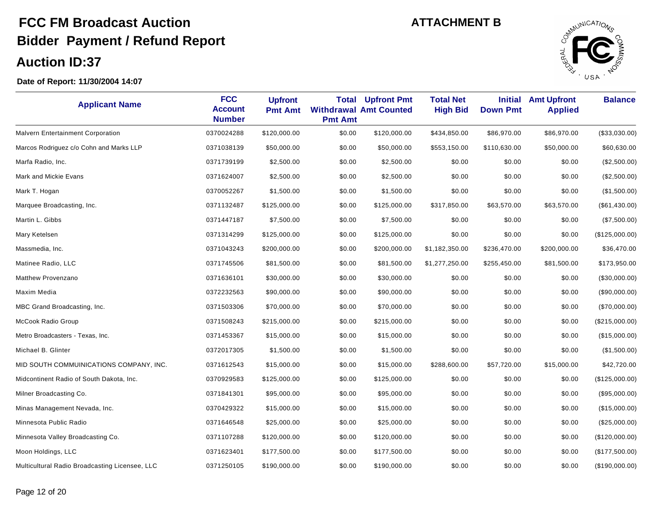

| <b>Applicant Name</b>                          | <b>FCC</b><br><b>Account</b><br><b>Number</b> | <b>Upfront</b><br><b>Pmt Amt</b> | Total<br><b>Pmt Amt</b> | <b>Upfront Pmt</b><br><b>Withdrawal Amt Counted</b> | <b>Total Net</b><br><b>High Bid</b> | <b>Initial</b><br><b>Down Pmt</b> | <b>Amt Upfront</b><br><b>Applied</b> | <b>Balance</b> |
|------------------------------------------------|-----------------------------------------------|----------------------------------|-------------------------|-----------------------------------------------------|-------------------------------------|-----------------------------------|--------------------------------------|----------------|
| Malvern Entertainment Corporation              | 0370024288                                    | \$120,000.00                     | \$0.00                  | \$120,000.00                                        | \$434,850.00                        | \$86,970.00                       | \$86,970.00                          | (\$33,030.00)  |
| Marcos Rodriguez c/o Cohn and Marks LLP        | 0371038139                                    | \$50,000.00                      | \$0.00                  | \$50,000.00                                         | \$553,150.00                        | \$110,630.00                      | \$50,000.00                          | \$60,630.00    |
| Marfa Radio, Inc.                              | 0371739199                                    | \$2,500.00                       | \$0.00                  | \$2,500.00                                          | \$0.00                              | \$0.00                            | \$0.00                               | (\$2,500.00)   |
| Mark and Mickie Evans                          | 0371624007                                    | \$2,500.00                       | \$0.00                  | \$2,500.00                                          | \$0.00                              | \$0.00                            | \$0.00                               | (\$2,500.00)   |
| Mark T. Hogan                                  | 0370052267                                    | \$1,500.00                       | \$0.00                  | \$1,500.00                                          | \$0.00                              | \$0.00                            | \$0.00                               | (\$1,500.00)   |
| Marquee Broadcasting, Inc.                     | 0371132487                                    | \$125,000.00                     | \$0.00                  | \$125,000.00                                        | \$317,850.00                        | \$63,570.00                       | \$63,570.00                          | (\$61,430.00)  |
| Martin L. Gibbs                                | 0371447187                                    | \$7,500.00                       | \$0.00                  | \$7,500.00                                          | \$0.00                              | \$0.00                            | \$0.00                               | (\$7,500.00)   |
| Mary Ketelsen                                  | 0371314299                                    | \$125,000.00                     | \$0.00                  | \$125,000.00                                        | \$0.00                              | \$0.00                            | \$0.00                               | (\$125,000.00) |
| Massmedia, Inc.                                | 0371043243                                    | \$200,000.00                     | \$0.00                  | \$200,000.00                                        | \$1,182,350.00                      | \$236,470.00                      | \$200,000.00                         | \$36,470.00    |
| Matinee Radio, LLC                             | 0371745506                                    | \$81,500.00                      | \$0.00                  | \$81,500.00                                         | \$1,277,250.00                      | \$255,450.00                      | \$81,500.00                          | \$173,950.00   |
| <b>Matthew Provenzano</b>                      | 0371636101                                    | \$30,000.00                      | \$0.00                  | \$30,000.00                                         | \$0.00                              | \$0.00                            | \$0.00                               | (\$30,000.00)  |
| Maxim Media                                    | 0372232563                                    | \$90,000.00                      | \$0.00                  | \$90,000.00                                         | \$0.00                              | \$0.00                            | \$0.00                               | (\$90,000.00)  |
| MBC Grand Broadcasting, Inc.                   | 0371503306                                    | \$70,000.00                      | \$0.00                  | \$70,000.00                                         | \$0.00                              | \$0.00                            | \$0.00                               | (\$70,000.00)  |
| McCook Radio Group                             | 0371508243                                    | \$215,000.00                     | \$0.00                  | \$215,000.00                                        | \$0.00                              | \$0.00                            | \$0.00                               | (\$215,000.00) |
| Metro Broadcasters - Texas, Inc.               | 0371453367                                    | \$15,000.00                      | \$0.00                  | \$15,000.00                                         | \$0.00                              | \$0.00                            | \$0.00                               | (\$15,000.00)  |
| Michael B. Glinter                             | 0372017305                                    | \$1,500.00                       | \$0.00                  | \$1,500.00                                          | \$0.00                              | \$0.00                            | \$0.00                               | (\$1,500.00)   |
| MID SOUTH COMMUINICATIONS COMPANY, INC.        | 0371612543                                    | \$15,000.00                      | \$0.00                  | \$15,000.00                                         | \$288,600.00                        | \$57,720.00                       | \$15,000.00                          | \$42,720.00    |
| Midcontinent Radio of South Dakota, Inc.       | 0370929583                                    | \$125,000.00                     | \$0.00                  | \$125,000.00                                        | \$0.00                              | \$0.00                            | \$0.00                               | (\$125,000.00) |
| Milner Broadcasting Co.                        | 0371841301                                    | \$95,000.00                      | \$0.00                  | \$95,000.00                                         | \$0.00                              | \$0.00                            | \$0.00                               | (\$95,000.00)  |
| Minas Management Nevada, Inc.                  | 0370429322                                    | \$15,000.00                      | \$0.00                  | \$15,000.00                                         | \$0.00                              | \$0.00                            | \$0.00                               | (\$15,000.00)  |
| Minnesota Public Radio                         | 0371646548                                    | \$25,000.00                      | \$0.00                  | \$25,000.00                                         | \$0.00                              | \$0.00                            | \$0.00                               | (\$25,000.00)  |
| Minnesota Valley Broadcasting Co.              | 0371107288                                    | \$120,000.00                     | \$0.00                  | \$120,000.00                                        | \$0.00                              | \$0.00                            | \$0.00                               | (\$120,000.00) |
| Moon Holdings, LLC                             | 0371623401                                    | \$177,500.00                     | \$0.00                  | \$177,500.00                                        | \$0.00                              | \$0.00                            | \$0.00                               | (\$177,500.00) |
| Multicultural Radio Broadcasting Licensee, LLC | 0371250105                                    | \$190,000.00                     | \$0.00                  | \$190,000.00                                        | \$0.00                              | \$0.00                            | \$0.00                               | (\$190,000.00) |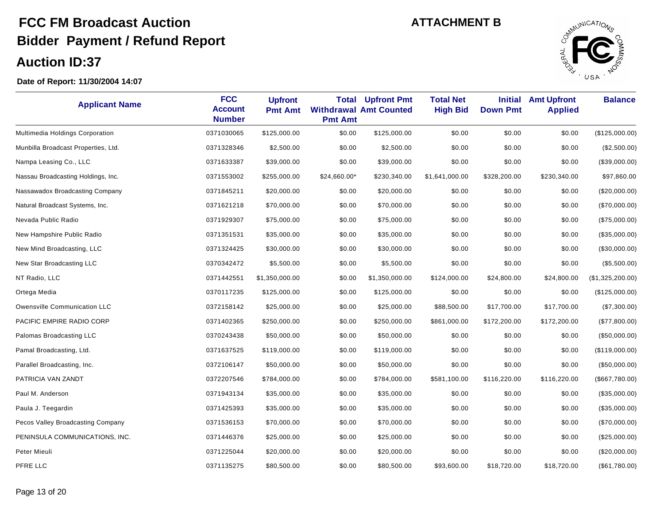

| <b>Applicant Name</b>               | <b>FCC</b><br><b>Account</b><br><b>Number</b> | <b>Upfront</b><br><b>Pmt Amt</b> | <b>Total</b><br><b>Pmt Amt</b> | <b>Upfront Pmt</b><br><b>Withdrawal Amt Counted</b> | <b>Total Net</b><br><b>High Bid</b> | <b>Initial</b><br><b>Down Pmt</b> | <b>Amt Upfront</b><br><b>Applied</b> | <b>Balance</b>   |
|-------------------------------------|-----------------------------------------------|----------------------------------|--------------------------------|-----------------------------------------------------|-------------------------------------|-----------------------------------|--------------------------------------|------------------|
| Multimedia Holdings Corporation     | 0371030065                                    | \$125,000.00                     | \$0.00                         | \$125,000.00                                        | \$0.00                              | \$0.00                            | \$0.00                               | (\$125,000.00)   |
| Munbilla Broadcast Properties, Ltd. | 0371328346                                    | \$2,500.00                       | \$0.00                         | \$2,500.00                                          | \$0.00                              | \$0.00                            | \$0.00                               | (\$2,500.00)     |
| Nampa Leasing Co., LLC              | 0371633387                                    | \$39,000.00                      | \$0.00                         | \$39,000.00                                         | \$0.00                              | \$0.00                            | \$0.00                               | (\$39,000.00)    |
| Nassau Broadcasting Holdings, Inc.  | 0371553002                                    | \$255,000.00                     | \$24,660.00*                   | \$230,340.00                                        | \$1,641,000.00                      | \$328,200.00                      | \$230,340.00                         | \$97,860.00      |
| Nassawadox Broadcasting Company     | 0371845211                                    | \$20,000.00                      | \$0.00                         | \$20,000.00                                         | \$0.00                              | \$0.00                            | \$0.00                               | $(\$20,000.00)$  |
| Natural Broadcast Systems, Inc.     | 0371621218                                    | \$70,000.00                      | \$0.00                         | \$70,000.00                                         | \$0.00                              | \$0.00                            | \$0.00                               | (\$70,000.00)    |
| Nevada Public Radio                 | 0371929307                                    | \$75,000.00                      | \$0.00                         | \$75,000.00                                         | \$0.00                              | \$0.00                            | \$0.00                               | (\$75,000.00)    |
| New Hampshire Public Radio          | 0371351531                                    | \$35,000.00                      | \$0.00                         | \$35,000.00                                         | \$0.00                              | \$0.00                            | \$0.00                               | (\$35,000.00)    |
| New Mind Broadcasting, LLC          | 0371324425                                    | \$30,000.00                      | \$0.00                         | \$30,000.00                                         | \$0.00                              | \$0.00                            | \$0.00                               | (\$30,000.00)    |
| New Star Broadcasting LLC           | 0370342472                                    | \$5,500.00                       | \$0.00                         | \$5,500.00                                          | \$0.00                              | \$0.00                            | \$0.00                               | (\$5,500.00)     |
| NT Radio, LLC                       | 0371442551                                    | \$1,350,000.00                   | \$0.00                         | \$1,350,000.00                                      | \$124,000.00                        | \$24,800.00                       | \$24,800.00                          | (\$1,325,200.00) |
| Ortega Media                        | 0370117235                                    | \$125,000.00                     | \$0.00                         | \$125,000.00                                        | \$0.00                              | \$0.00                            | \$0.00                               | (\$125,000.00)   |
| Owensville Communication LLC        | 0372158142                                    | \$25,000.00                      | \$0.00                         | \$25,000.00                                         | \$88,500.00                         | \$17,700.00                       | \$17,700.00                          | (\$7,300.00)     |
| PACIFIC EMPIRE RADIO CORP           | 0371402365                                    | \$250,000.00                     | \$0.00                         | \$250,000.00                                        | \$861,000.00                        | \$172,200.00                      | \$172,200.00                         | (\$77,800.00)    |
| Palomas Broadcasting LLC            | 0370243438                                    | \$50,000.00                      | \$0.00                         | \$50,000.00                                         | \$0.00                              | \$0.00                            | \$0.00                               | (\$50,000.00)    |
| Pamal Broadcasting, Ltd.            | 0371637525                                    | \$119,000.00                     | \$0.00                         | \$119,000.00                                        | \$0.00                              | \$0.00                            | \$0.00                               | (\$119,000.00)   |
| Parallel Broadcasting, Inc.         | 0372106147                                    | \$50,000.00                      | \$0.00                         | \$50,000.00                                         | \$0.00                              | \$0.00                            | \$0.00                               | (\$50,000.00)    |
| PATRICIA VAN ZANDT                  | 0372207546                                    | \$784,000.00                     | \$0.00                         | \$784,000.00                                        | \$581,100.00                        | \$116,220.00                      | \$116,220.00                         | (\$667,780.00)   |
| Paul M. Anderson                    | 0371943134                                    | \$35,000.00                      | \$0.00                         | \$35,000.00                                         | \$0.00                              | \$0.00                            | \$0.00                               | (\$35,000.00)    |
| Paula J. Teegardin                  | 0371425393                                    | \$35,000.00                      | \$0.00                         | \$35,000.00                                         | \$0.00                              | \$0.00                            | \$0.00                               | (\$35,000.00)    |
| Pecos Valley Broadcasting Company   | 0371536153                                    | \$70,000.00                      | \$0.00                         | \$70,000.00                                         | \$0.00                              | \$0.00                            | \$0.00                               | (\$70,000.00)    |
| PENINSULA COMMUNICATIONS, INC.      | 0371446376                                    | \$25,000.00                      | \$0.00                         | \$25,000.00                                         | \$0.00                              | \$0.00                            | \$0.00                               | (\$25,000.00)    |
| Peter Mieuli                        | 0371225044                                    | \$20,000.00                      | \$0.00                         | \$20,000.00                                         | \$0.00                              | \$0.00                            | \$0.00                               | (\$20,000.00)    |
| PFRE LLC                            | 0371135275                                    | \$80,500.00                      | \$0.00                         | \$80,500.00                                         | \$93,600.00                         | \$18,720.00                       | \$18,720.00                          | $(\$61,780.00)$  |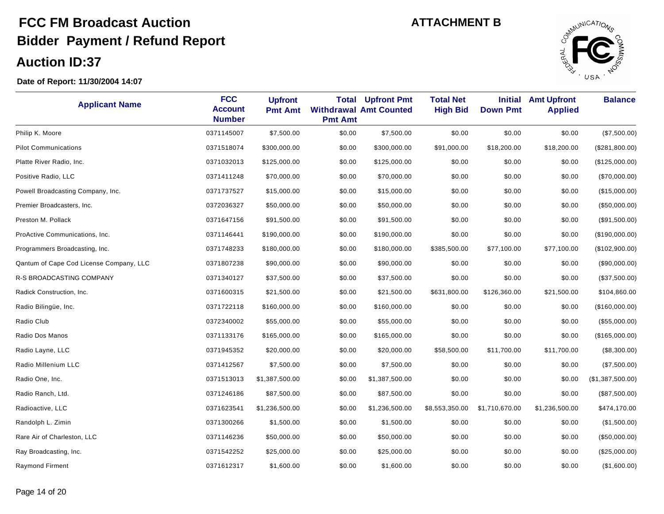

| <b>Applicant Name</b>                   | <b>FCC</b><br><b>Account</b><br><b>Number</b> | <b>Upfront</b><br><b>Pmt Amt</b> | <b>Total</b><br><b>Pmt Amt</b> | <b>Upfront Pmt</b><br><b>Withdrawal Amt Counted</b> | <b>Total Net</b><br><b>High Bid</b> | <b>Initial</b><br><b>Down Pmt</b> | <b>Amt Upfront</b><br><b>Applied</b> | <b>Balance</b>   |
|-----------------------------------------|-----------------------------------------------|----------------------------------|--------------------------------|-----------------------------------------------------|-------------------------------------|-----------------------------------|--------------------------------------|------------------|
| Philip K. Moore                         | 0371145007                                    | \$7,500.00                       | \$0.00                         | \$7,500.00                                          | \$0.00                              | \$0.00                            | \$0.00                               | (\$7,500.00)     |
| <b>Pilot Communications</b>             | 0371518074                                    | \$300,000.00                     | \$0.00                         | \$300,000.00                                        | \$91,000.00                         | \$18,200.00                       | \$18,200.00                          | (\$281,800.00)   |
| Platte River Radio, Inc.                | 0371032013                                    | \$125,000.00                     | \$0.00                         | \$125,000.00                                        | \$0.00                              | \$0.00                            | \$0.00                               | (\$125,000.00)   |
| Positive Radio, LLC                     | 0371411248                                    | \$70,000.00                      | \$0.00                         | \$70,000.00                                         | \$0.00                              | \$0.00                            | \$0.00                               | (\$70,000.00)    |
| Powell Broadcasting Company, Inc.       | 0371737527                                    | \$15,000.00                      | \$0.00                         | \$15,000.00                                         | \$0.00                              | \$0.00                            | \$0.00                               | (\$15,000.00)    |
| Premier Broadcasters, Inc.              | 0372036327                                    | \$50,000.00                      | \$0.00                         | \$50,000.00                                         | \$0.00                              | \$0.00                            | \$0.00                               | (\$50,000.00)    |
| Preston M. Pollack                      | 0371647156                                    | \$91,500.00                      | \$0.00                         | \$91,500.00                                         | \$0.00                              | \$0.00                            | \$0.00                               | (\$91,500.00)    |
| ProActive Communications, Inc.          | 0371146441                                    | \$190,000.00                     | \$0.00                         | \$190,000.00                                        | \$0.00                              | \$0.00                            | \$0.00                               | (\$190,000.00)   |
| Programmers Broadcasting, Inc.          | 0371748233                                    | \$180,000.00                     | \$0.00                         | \$180,000.00                                        | \$385,500.00                        | \$77,100.00                       | \$77,100.00                          | (\$102,900.00)   |
| Qantum of Cape Cod License Company, LLC | 0371807238                                    | \$90,000.00                      | \$0.00                         | \$90,000.00                                         | \$0.00                              | \$0.00                            | \$0.00                               | (\$90,000.00)    |
| R-S BROADCASTING COMPANY                | 0371340127                                    | \$37,500.00                      | \$0.00                         | \$37,500.00                                         | \$0.00                              | \$0.00                            | \$0.00                               | (\$37,500.00)    |
| Radick Construction, Inc.               | 0371600315                                    | \$21,500.00                      | \$0.00                         | \$21,500.00                                         | \$631,800.00                        | \$126,360.00                      | \$21,500.00                          | \$104,860.00     |
| Radio Bilingüe, Inc.                    | 0371722118                                    | \$160,000.00                     | \$0.00                         | \$160,000.00                                        | \$0.00                              | \$0.00                            | \$0.00                               | (\$160,000.00)   |
| Radio Club                              | 0372340002                                    | \$55,000.00                      | \$0.00                         | \$55,000.00                                         | \$0.00                              | \$0.00                            | \$0.00                               | (\$55,000.00)    |
| Radio Dos Manos                         | 0371133176                                    | \$165,000.00                     | \$0.00                         | \$165,000.00                                        | \$0.00                              | \$0.00                            | \$0.00                               | (\$165,000.00)   |
| Radio Layne, LLC                        | 0371945352                                    | \$20,000.00                      | \$0.00                         | \$20,000.00                                         | \$58,500.00                         | \$11,700.00                       | \$11,700.00                          | (\$8,300.00)     |
| Radio Millenium LLC                     | 0371412567                                    | \$7,500.00                       | \$0.00                         | \$7,500.00                                          | \$0.00                              | \$0.00                            | \$0.00                               | (\$7,500.00)     |
| Radio One, Inc.                         | 0371513013                                    | \$1,387,500.00                   | \$0.00                         | \$1,387,500.00                                      | \$0.00                              | \$0.00                            | \$0.00                               | (\$1,387,500.00) |
| Radio Ranch, Ltd.                       | 0371246186                                    | \$87,500.00                      | \$0.00                         | \$87,500.00                                         | \$0.00                              | \$0.00                            | \$0.00                               | (\$87,500.00)    |
| Radioactive, LLC                        | 0371623541                                    | \$1,236,500.00                   | \$0.00                         | \$1,236,500.00                                      | \$8,553,350.00                      | \$1,710,670.00                    | \$1,236,500.00                       | \$474,170.00     |
| Randolph L. Zimin                       | 0371300266                                    | \$1,500.00                       | \$0.00                         | \$1,500.00                                          | \$0.00                              | \$0.00                            | \$0.00                               | (\$1,500.00)     |
| Rare Air of Charleston, LLC             | 0371146236                                    | \$50,000.00                      | \$0.00                         | \$50,000.00                                         | \$0.00                              | \$0.00                            | \$0.00                               | (\$50,000.00)    |
| Ray Broadcasting, Inc.                  | 0371542252                                    | \$25,000.00                      | \$0.00                         | \$25,000.00                                         | \$0.00                              | \$0.00                            | \$0.00                               | (\$25,000.00)    |
| <b>Raymond Firment</b>                  | 0371612317                                    | \$1,600.00                       | \$0.00                         | \$1,600.00                                          | \$0.00                              | \$0.00                            | \$0.00                               | (\$1,600.00)     |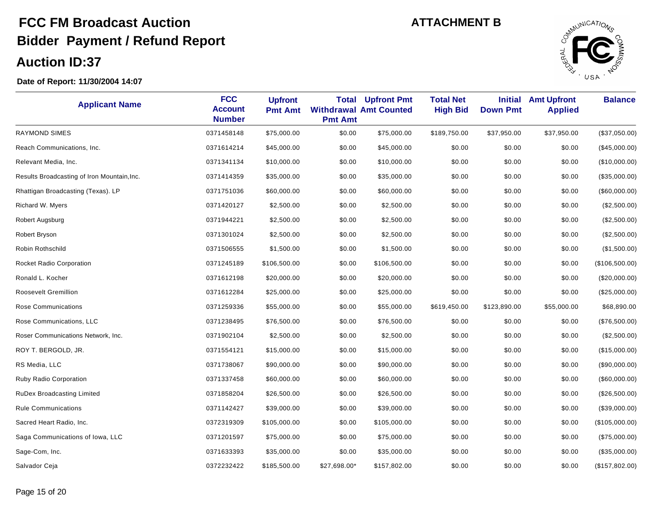

| <b>Applicant Name</b>                       | <b>FCC</b><br><b>Account</b><br><b>Number</b> | <b>Upfront</b><br><b>Pmt Amt</b> | Total<br><b>Pmt Amt</b> | <b>Upfront Pmt</b><br><b>Withdrawal Amt Counted</b> | <b>Total Net</b><br><b>High Bid</b> | <b>Initial</b><br><b>Down Pmt</b> | <b>Amt Upfront</b><br><b>Applied</b> | <b>Balance</b> |
|---------------------------------------------|-----------------------------------------------|----------------------------------|-------------------------|-----------------------------------------------------|-------------------------------------|-----------------------------------|--------------------------------------|----------------|
| <b>RAYMOND SIMES</b>                        | 0371458148                                    | \$75,000.00                      | \$0.00                  | \$75,000.00                                         | \$189,750.00                        | \$37,950.00                       | \$37,950.00                          | (\$37,050.00)  |
| Reach Communications, Inc.                  | 0371614214                                    | \$45,000.00                      | \$0.00                  | \$45,000.00                                         | \$0.00                              | \$0.00                            | \$0.00                               | (\$45,000.00)  |
| Relevant Media, Inc.                        | 0371341134                                    | \$10,000.00                      | \$0.00                  | \$10,000.00                                         | \$0.00                              | \$0.00                            | \$0.00                               | (\$10,000.00)  |
| Results Broadcasting of Iron Mountain, Inc. | 0371414359                                    | \$35,000.00                      | \$0.00                  | \$35,000.00                                         | \$0.00                              | \$0.00                            | \$0.00                               | (\$35,000.00)  |
| Rhattigan Broadcasting (Texas). LP          | 0371751036                                    | \$60,000.00                      | \$0.00                  | \$60,000.00                                         | \$0.00                              | \$0.00                            | \$0.00                               | (\$60,000.00)  |
| Richard W. Myers                            | 0371420127                                    | \$2,500.00                       | \$0.00                  | \$2,500.00                                          | \$0.00                              | \$0.00                            | \$0.00                               | (\$2,500.00)   |
| Robert Augsburg                             | 0371944221                                    | \$2,500.00                       | \$0.00                  | \$2,500.00                                          | \$0.00                              | \$0.00                            | \$0.00                               | (\$2,500.00)   |
| Robert Bryson                               | 0371301024                                    | \$2,500.00                       | \$0.00                  | \$2,500.00                                          | \$0.00                              | \$0.00                            | \$0.00                               | (\$2,500.00)   |
| Robin Rothschild                            | 0371506555                                    | \$1,500.00                       | \$0.00                  | \$1,500.00                                          | \$0.00                              | \$0.00                            | \$0.00                               | (\$1,500.00)   |
| Rocket Radio Corporation                    | 0371245189                                    | \$106,500.00                     | \$0.00                  | \$106,500.00                                        | \$0.00                              | \$0.00                            | \$0.00                               | (\$106,500.00) |
| Ronald L. Kocher                            | 0371612198                                    | \$20,000.00                      | \$0.00                  | \$20,000.00                                         | \$0.00                              | \$0.00                            | \$0.00                               | (\$20,000.00)  |
| Roosevelt Gremillion                        | 0371612284                                    | \$25,000.00                      | \$0.00                  | \$25,000.00                                         | \$0.00                              | \$0.00                            | \$0.00                               | (\$25,000.00)  |
| Rose Communications                         | 0371259336                                    | \$55,000.00                      | \$0.00                  | \$55,000.00                                         | \$619,450.00                        | \$123,890.00                      | \$55,000.00                          | \$68,890.00    |
| Rose Communications, LLC                    | 0371238495                                    | \$76,500.00                      | \$0.00                  | \$76,500.00                                         | \$0.00                              | \$0.00                            | \$0.00                               | (\$76,500.00)  |
| Roser Communications Network, Inc.          | 0371902104                                    | \$2,500.00                       | \$0.00                  | \$2,500.00                                          | \$0.00                              | \$0.00                            | \$0.00                               | (\$2,500.00)   |
| ROY T. BERGOLD, JR.                         | 0371554121                                    | \$15,000.00                      | \$0.00                  | \$15,000.00                                         | \$0.00                              | \$0.00                            | \$0.00                               | (\$15,000.00)  |
| RS Media, LLC                               | 0371738067                                    | \$90,000.00                      | \$0.00                  | \$90,000.00                                         | \$0.00                              | \$0.00                            | \$0.00                               | (\$90,000.00)  |
| Ruby Radio Corporation                      | 0371337458                                    | \$60,000.00                      | \$0.00                  | \$60,000.00                                         | \$0.00                              | \$0.00                            | \$0.00                               | (\$60,000.00)  |
| <b>RuDex Broadcasting Limited</b>           | 0371858204                                    | \$26,500.00                      | \$0.00                  | \$26,500.00                                         | \$0.00                              | \$0.00                            | \$0.00                               | (\$26,500.00)  |
| <b>Rule Communications</b>                  | 0371142427                                    | \$39,000.00                      | \$0.00                  | \$39,000.00                                         | \$0.00                              | \$0.00                            | \$0.00                               | (\$39,000.00)  |
| Sacred Heart Radio, Inc.                    | 0372319309                                    | \$105,000.00                     | \$0.00                  | \$105,000.00                                        | \$0.00                              | \$0.00                            | \$0.00                               | (\$105,000.00) |
| Saga Communications of Iowa, LLC            | 0371201597                                    | \$75,000.00                      | \$0.00                  | \$75,000.00                                         | \$0.00                              | \$0.00                            | \$0.00                               | (\$75,000.00)  |
| Sage-Com, Inc.                              | 0371633393                                    | \$35,000.00                      | \$0.00                  | \$35,000.00                                         | \$0.00                              | \$0.00                            | \$0.00                               | (\$35,000.00)  |
| Salvador Ceja                               | 0372232422                                    | \$185,500.00                     | \$27,698.00*            | \$157,802.00                                        | \$0.00                              | \$0.00                            | \$0.00                               | (\$157,802.00) |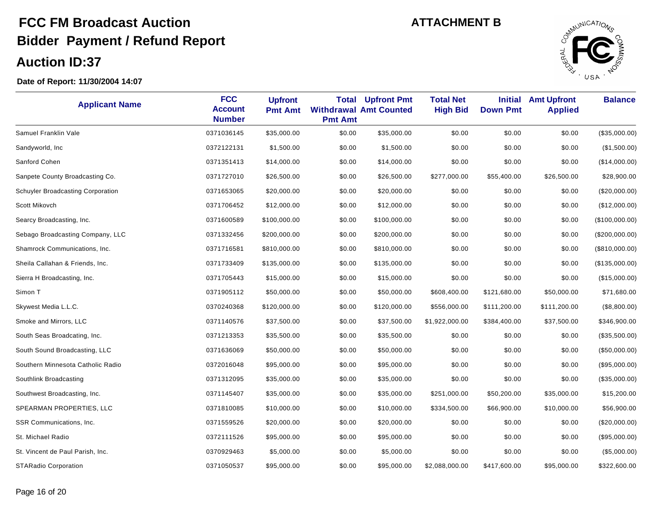

| <b>Applicant Name</b>             | <b>FCC</b><br><b>Account</b><br><b>Number</b> | <b>Upfront</b><br><b>Pmt Amt</b> | Total<br><b>Pmt Amt</b> | <b>Upfront Pmt</b><br><b>Withdrawal Amt Counted</b> | <b>Total Net</b><br><b>High Bid</b> | <b>Initial</b><br><b>Down Pmt</b> | <b>Amt Upfront</b><br><b>Applied</b> | <b>Balance</b> |
|-----------------------------------|-----------------------------------------------|----------------------------------|-------------------------|-----------------------------------------------------|-------------------------------------|-----------------------------------|--------------------------------------|----------------|
| Samuel Franklin Vale              | 0371036145                                    | \$35,000.00                      | \$0.00                  | \$35,000.00                                         | \$0.00                              | \$0.00                            | \$0.00                               | (\$35,000.00)  |
| Sandyworld, Inc.                  | 0372122131                                    | \$1,500.00                       | \$0.00                  | \$1,500.00                                          | \$0.00                              | \$0.00                            | \$0.00                               | (\$1,500.00)   |
| Sanford Cohen                     | 0371351413                                    | \$14,000.00                      | \$0.00                  | \$14,000.00                                         | \$0.00                              | \$0.00                            | \$0.00                               | (\$14,000.00)  |
| Sanpete County Broadcasting Co.   | 0371727010                                    | \$26,500.00                      | \$0.00                  | \$26,500.00                                         | \$277,000.00                        | \$55,400.00                       | \$26,500.00                          | \$28,900.00    |
| Schuyler Broadcasting Corporation | 0371653065                                    | \$20,000.00                      | \$0.00                  | \$20,000.00                                         | \$0.00                              | \$0.00                            | \$0.00                               | (\$20,000.00)  |
| Scott Mikovch                     | 0371706452                                    | \$12,000.00                      | \$0.00                  | \$12,000.00                                         | \$0.00                              | \$0.00                            | \$0.00                               | (\$12,000.00)  |
| Searcy Broadcasting, Inc.         | 0371600589                                    | \$100,000.00                     | \$0.00                  | \$100,000.00                                        | \$0.00                              | \$0.00                            | \$0.00                               | (\$100,000.00) |
| Sebago Broadcasting Company, LLC  | 0371332456                                    | \$200,000.00                     | \$0.00                  | \$200,000.00                                        | \$0.00                              | \$0.00                            | \$0.00                               | (\$200,000.00) |
| Shamrock Communications, Inc.     | 0371716581                                    | \$810,000.00                     | \$0.00                  | \$810,000.00                                        | \$0.00                              | \$0.00                            | \$0.00                               | (\$810,000.00) |
| Sheila Callahan & Friends, Inc.   | 0371733409                                    | \$135,000.00                     | \$0.00                  | \$135,000.00                                        | \$0.00                              | \$0.00                            | \$0.00                               | (\$135,000.00) |
| Sierra H Broadcasting, Inc.       | 0371705443                                    | \$15,000.00                      | \$0.00                  | \$15,000.00                                         | \$0.00                              | \$0.00                            | \$0.00                               | (\$15,000.00)  |
| Simon T                           | 0371905112                                    | \$50,000.00                      | \$0.00                  | \$50,000.00                                         | \$608,400.00                        | \$121,680.00                      | \$50,000.00                          | \$71,680.00    |
| Skywest Media L.L.C.              | 0370240368                                    | \$120,000.00                     | \$0.00                  | \$120,000.00                                        | \$556,000.00                        | \$111,200.00                      | \$111,200.00                         | (\$8,800.00)   |
| Smoke and Mirrors, LLC            | 0371140576                                    | \$37,500.00                      | \$0.00                  | \$37,500.00                                         | \$1,922,000.00                      | \$384,400.00                      | \$37,500.00                          | \$346,900.00   |
| South Seas Broadcating, Inc.      | 0371213353                                    | \$35,500.00                      | \$0.00                  | \$35,500.00                                         | \$0.00                              | \$0.00                            | \$0.00                               | (\$35,500.00)  |
| South Sound Broadcasting, LLC     | 0371636069                                    | \$50,000.00                      | \$0.00                  | \$50,000.00                                         | \$0.00                              | \$0.00                            | \$0.00                               | (\$50,000.00)  |
| Southern Minnesota Catholic Radio | 0372016048                                    | \$95,000.00                      | \$0.00                  | \$95,000.00                                         | \$0.00                              | \$0.00                            | \$0.00                               | (\$95,000.00)  |
| Southlink Broadcasting            | 0371312095                                    | \$35,000.00                      | \$0.00                  | \$35,000.00                                         | \$0.00                              | \$0.00                            | \$0.00                               | (\$35,000.00)  |
| Southwest Broadcasting, Inc.      | 0371145407                                    | \$35,000.00                      | \$0.00                  | \$35,000.00                                         | \$251,000.00                        | \$50,200.00                       | \$35,000.00                          | \$15,200.00    |
| SPEARMAN PROPERTIES, LLC          | 0371810085                                    | \$10,000.00                      | \$0.00                  | \$10,000.00                                         | \$334,500.00                        | \$66,900.00                       | \$10,000.00                          | \$56,900.00    |
| SSR Communications, Inc.          | 0371559526                                    | \$20,000.00                      | \$0.00                  | \$20,000.00                                         | \$0.00                              | \$0.00                            | \$0.00                               | (\$20,000.00)  |
| St. Michael Radio                 | 0372111526                                    | \$95,000.00                      | \$0.00                  | \$95,000.00                                         | \$0.00                              | \$0.00                            | \$0.00                               | (\$95,000.00)  |
| St. Vincent de Paul Parish, Inc.  | 0370929463                                    | \$5,000.00                       | \$0.00                  | \$5,000.00                                          | \$0.00                              | \$0.00                            | \$0.00                               | (\$5,000.00)   |
| <b>STARadio Corporation</b>       | 0371050537                                    | \$95,000.00                      | \$0.00                  | \$95,000.00                                         | \$2,088,000.00                      | \$417,600.00                      | \$95,000.00                          | \$322,600.00   |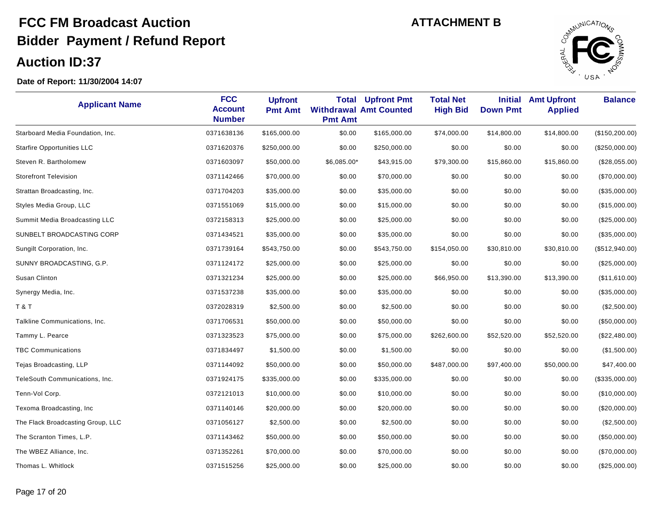

| <b>Applicant Name</b>             | <b>FCC</b><br><b>Account</b><br><b>Number</b> | <b>Upfront</b><br><b>Pmt Amt</b> | <b>Total</b><br><b>Pmt Amt</b> | <b>Upfront Pmt</b><br><b>Withdrawal Amt Counted</b> | <b>Total Net</b><br><b>High Bid</b> | <b>Initial</b><br><b>Down Pmt</b> | <b>Amt Upfront</b><br><b>Applied</b> | <b>Balance</b>  |
|-----------------------------------|-----------------------------------------------|----------------------------------|--------------------------------|-----------------------------------------------------|-------------------------------------|-----------------------------------|--------------------------------------|-----------------|
| Starboard Media Foundation, Inc.  | 0371638136                                    | \$165,000.00                     | \$0.00                         | \$165,000.00                                        | \$74,000.00                         | \$14,800.00                       | \$14,800.00                          | (\$150, 200.00) |
| <b>Starfire Opportunities LLC</b> | 0371620376                                    | \$250,000.00                     | \$0.00                         | \$250,000.00                                        | \$0.00                              | \$0.00                            | \$0.00                               | (\$250,000.00)  |
| Steven R. Bartholomew             | 0371603097                                    | \$50,000.00                      | \$6,085.00*                    | \$43,915.00                                         | \$79,300.00                         | \$15,860.00                       | \$15,860.00                          | (\$28,055.00)   |
| <b>Storefront Television</b>      | 0371142466                                    | \$70,000.00                      | \$0.00                         | \$70,000.00                                         | \$0.00                              | \$0.00                            | \$0.00                               | (\$70,000.00)   |
| Strattan Broadcasting, Inc.       | 0371704203                                    | \$35,000.00                      | \$0.00                         | \$35,000.00                                         | \$0.00                              | \$0.00                            | \$0.00                               | (\$35,000.00)   |
| Styles Media Group, LLC           | 0371551069                                    | \$15,000.00                      | \$0.00                         | \$15,000.00                                         | \$0.00                              | \$0.00                            | \$0.00                               | (\$15,000.00)   |
| Summit Media Broadcasting LLC     | 0372158313                                    | \$25,000.00                      | \$0.00                         | \$25,000.00                                         | \$0.00                              | \$0.00                            | \$0.00                               | (\$25,000.00)   |
| SUNBELT BROADCASTING CORP         | 0371434521                                    | \$35,000.00                      | \$0.00                         | \$35,000.00                                         | \$0.00                              | \$0.00                            | \$0.00                               | (\$35,000.00)   |
| Sungilt Corporation, Inc.         | 0371739164                                    | \$543,750.00                     | \$0.00                         | \$543,750.00                                        | \$154,050.00                        | \$30,810.00                       | \$30,810.00                          | (\$512,940.00)  |
| SUNNY BROADCASTING, G.P.          | 0371124172                                    | \$25,000.00                      | \$0.00                         | \$25,000.00                                         | \$0.00                              | \$0.00                            | \$0.00                               | (\$25,000.00)   |
| Susan Clinton                     | 0371321234                                    | \$25,000.00                      | \$0.00                         | \$25,000.00                                         | \$66,950.00                         | \$13,390.00                       | \$13,390.00                          | (\$11,610.00)   |
| Synergy Media, Inc.               | 0371537238                                    | \$35,000.00                      | \$0.00                         | \$35,000.00                                         | \$0.00                              | \$0.00                            | \$0.00                               | (\$35,000.00)   |
| <b>T&amp;T</b>                    | 0372028319                                    | \$2,500.00                       | \$0.00                         | \$2,500.00                                          | \$0.00                              | \$0.00                            | \$0.00                               | (\$2,500.00)    |
| Talkline Communications, Inc.     | 0371706531                                    | \$50,000.00                      | \$0.00                         | \$50,000.00                                         | \$0.00                              | \$0.00                            | \$0.00                               | (\$50,000.00)   |
| Tammy L. Pearce                   | 0371323523                                    | \$75,000.00                      | \$0.00                         | \$75,000.00                                         | \$262,600.00                        | \$52,520.00                       | \$52,520.00                          | (\$22,480.00)   |
| <b>TBC Communications</b>         | 0371834497                                    | \$1,500.00                       | \$0.00                         | \$1,500.00                                          | \$0.00                              | \$0.00                            | \$0.00                               | (\$1,500.00)    |
| Tejas Broadcasting, LLP           | 0371144092                                    | \$50,000.00                      | \$0.00                         | \$50,000.00                                         | \$487,000.00                        | \$97,400.00                       | \$50,000.00                          | \$47,400.00     |
| TeleSouth Communications, Inc.    | 0371924175                                    | \$335,000.00                     | \$0.00                         | \$335,000.00                                        | \$0.00                              | \$0.00                            | \$0.00                               | (\$335,000.00)  |
| Tenn-Vol Corp.                    | 0372121013                                    | \$10,000.00                      | \$0.00                         | \$10,000.00                                         | \$0.00                              | \$0.00                            | \$0.00                               | (\$10,000.00)   |
| Texoma Broadcasting, Inc          | 0371140146                                    | \$20,000.00                      | \$0.00                         | \$20,000.00                                         | \$0.00                              | \$0.00                            | \$0.00                               | (\$20,000.00)   |
| The Flack Broadcasting Group, LLC | 0371056127                                    | \$2,500.00                       | \$0.00                         | \$2,500.00                                          | \$0.00                              | \$0.00                            | \$0.00                               | (\$2,500.00)    |
| The Scranton Times, L.P.          | 0371143462                                    | \$50,000.00                      | \$0.00                         | \$50,000.00                                         | \$0.00                              | \$0.00                            | \$0.00                               | (\$50,000.00)   |
| The WBEZ Alliance, Inc.           | 0371352261                                    | \$70,000.00                      | \$0.00                         | \$70,000.00                                         | \$0.00                              | \$0.00                            | \$0.00                               | (\$70,000.00)   |
| Thomas L. Whitlock                | 0371515256                                    | \$25,000.00                      | \$0.00                         | \$25,000.00                                         | \$0.00                              | \$0.00                            | \$0.00                               | $(\$25,000.00)$ |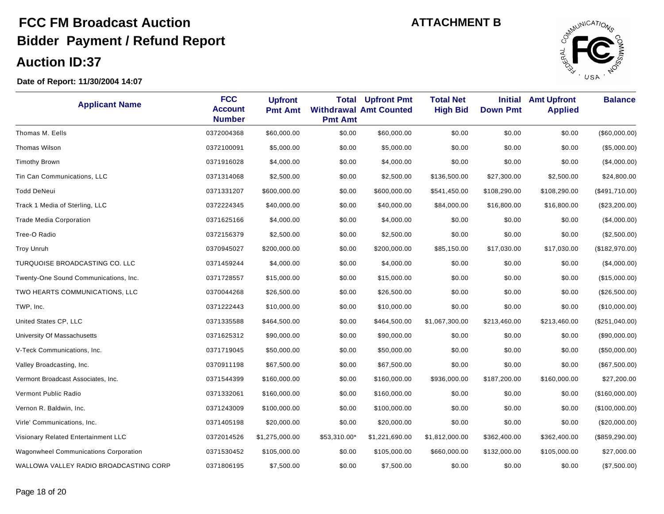

| <b>Applicant Name</b>                  | <b>FCC</b><br><b>Account</b><br><b>Number</b> | <b>Upfront</b><br><b>Pmt Amt</b> | Total<br><b>Pmt Amt</b> | <b>Upfront Pmt</b><br><b>Withdrawal Amt Counted</b> | <b>Total Net</b><br><b>High Bid</b> | <b>Initial</b><br><b>Down Pmt</b> | <b>Amt Upfront</b><br><b>Applied</b> | <b>Balance</b>  |
|----------------------------------------|-----------------------------------------------|----------------------------------|-------------------------|-----------------------------------------------------|-------------------------------------|-----------------------------------|--------------------------------------|-----------------|
| Thomas M. Eells                        | 0372004368                                    | \$60,000.00                      | \$0.00                  | \$60,000.00                                         | \$0.00                              | \$0.00                            | \$0.00                               | (\$60,000.00)   |
| <b>Thomas Wilson</b>                   | 0372100091                                    | \$5,000.00                       | \$0.00                  | \$5,000.00                                          | \$0.00                              | \$0.00                            | \$0.00                               | (\$5,000.00)    |
| <b>Timothy Brown</b>                   | 0371916028                                    | \$4,000.00                       | \$0.00                  | \$4,000.00                                          | \$0.00                              | \$0.00                            | \$0.00                               | (\$4,000.00)    |
| Tin Can Communications, LLC            | 0371314068                                    | \$2,500.00                       | \$0.00                  | \$2,500.00                                          | \$136,500.00                        | \$27,300.00                       | \$2,500.00                           | \$24,800.00     |
| <b>Todd DeNeui</b>                     | 0371331207                                    | \$600,000.00                     | \$0.00                  | \$600,000.00                                        | \$541,450.00                        | \$108,290.00                      | \$108,290.00                         | (\$491,710.00)  |
| Track 1 Media of Sterling, LLC         | 0372224345                                    | \$40,000.00                      | \$0.00                  | \$40,000.00                                         | \$84,000.00                         | \$16,800.00                       | \$16,800.00                          | (\$23,200.00)   |
| <b>Trade Media Corporation</b>         | 0371625166                                    | \$4,000.00                       | \$0.00                  | \$4,000.00                                          | \$0.00                              | \$0.00                            | \$0.00                               | $(\$4,000.00)$  |
| Tree-O Radio                           | 0372156379                                    | \$2,500.00                       | \$0.00                  | \$2,500.00                                          | \$0.00                              | \$0.00                            | \$0.00                               | (\$2,500.00)    |
| <b>Troy Unruh</b>                      | 0370945027                                    | \$200,000.00                     | \$0.00                  | \$200,000.00                                        | \$85,150.00                         | \$17,030.00                       | \$17,030.00                          | (\$182,970.00)  |
| TURQUOISE BROADCASTING CO. LLC         | 0371459244                                    | \$4,000.00                       | \$0.00                  | \$4,000.00                                          | \$0.00                              | \$0.00                            | \$0.00                               | $(\$4,000.00)$  |
| Twenty-One Sound Communications, Inc.  | 0371728557                                    | \$15,000.00                      | \$0.00                  | \$15,000.00                                         | \$0.00                              | \$0.00                            | \$0.00                               | (\$15,000.00)   |
| TWO HEARTS COMMUNICATIONS, LLC         | 0370044268                                    | \$26,500.00                      | \$0.00                  | \$26,500.00                                         | \$0.00                              | \$0.00                            | \$0.00                               | (\$26,500.00)   |
| TWP, Inc.                              | 0371222443                                    | \$10,000.00                      | \$0.00                  | \$10,000.00                                         | \$0.00                              | \$0.00                            | \$0.00                               | (\$10,000.00)   |
| United States CP, LLC                  | 0371335588                                    | \$464,500.00                     | \$0.00                  | \$464,500.00                                        | \$1,067,300.00                      | \$213,460.00                      | \$213,460.00                         | (\$251,040.00)  |
| University Of Massachusetts            | 0371625312                                    | \$90,000.00                      | \$0.00                  | \$90,000.00                                         | \$0.00                              | \$0.00                            | \$0.00                               | (\$90,000.00)   |
| V-Teck Communications, Inc.            | 0371719045                                    | \$50,000.00                      | \$0.00                  | \$50,000.00                                         | \$0.00                              | \$0.00                            | \$0.00                               | (\$50,000.00)   |
| Valley Broadcasting, Inc.              | 0370911198                                    | \$67,500.00                      | \$0.00                  | \$67,500.00                                         | \$0.00                              | \$0.00                            | \$0.00                               | (\$67,500.00)   |
| Vermont Broadcast Associates, Inc.     | 0371544399                                    | \$160,000.00                     | \$0.00                  | \$160,000.00                                        | \$936,000.00                        | \$187,200.00                      | \$160,000.00                         | \$27,200.00     |
| Vermont Public Radio                   | 0371332061                                    | \$160,000.00                     | \$0.00                  | \$160,000.00                                        | \$0.00                              | \$0.00                            | \$0.00                               | (\$160,000.00)  |
| Vernon R. Baldwin, Inc.                | 0371243009                                    | \$100,000.00                     | \$0.00                  | \$100,000.00                                        | \$0.00                              | \$0.00                            | \$0.00                               | (\$100,000.00)  |
| Virle' Communications, Inc.            | 0371405198                                    | \$20,000.00                      | \$0.00                  | \$20,000.00                                         | \$0.00                              | \$0.00                            | \$0.00                               | (\$20,000.00)   |
| Visionary Related Entertainment LLC    | 0372014526                                    | \$1,275,000.00                   | \$53,310.00*            | \$1,221,690.00                                      | \$1,812,000.00                      | \$362,400.00                      | \$362,400.00                         | (\$859, 290.00) |
| Wagonwheel Communications Corporation  | 0371530452                                    | \$105,000.00                     | \$0.00                  | \$105,000.00                                        | \$660,000.00                        | \$132,000.00                      | \$105,000.00                         | \$27,000.00     |
| WALLOWA VALLEY RADIO BROADCASTING CORP | 0371806195                                    | \$7,500.00                       | \$0.00                  | \$7,500.00                                          | \$0.00                              | \$0.00                            | \$0.00                               | (\$7,500.00)    |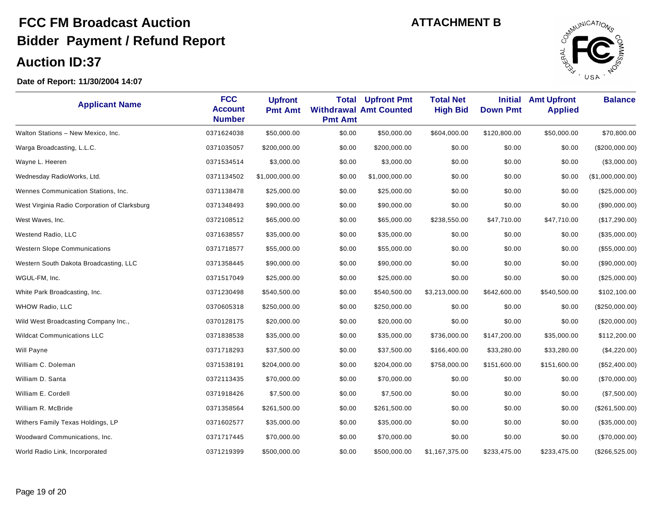

| <b>Applicant Name</b>                         | <b>FCC</b><br><b>Account</b><br><b>Number</b> | <b>Upfront</b><br><b>Pmt Amt</b> | Total<br><b>Pmt Amt</b> | <b>Upfront Pmt</b><br><b>Withdrawal Amt Counted</b> | <b>Total Net</b><br><b>High Bid</b> | <b>Initial</b><br><b>Down Pmt</b> | <b>Amt Upfront</b><br><b>Applied</b> | <b>Balance</b>   |
|-----------------------------------------------|-----------------------------------------------|----------------------------------|-------------------------|-----------------------------------------------------|-------------------------------------|-----------------------------------|--------------------------------------|------------------|
| Walton Stations - New Mexico, Inc.            | 0371624038                                    | \$50,000.00                      | \$0.00                  | \$50,000.00                                         | \$604,000.00                        | \$120,800.00                      | \$50,000.00                          | \$70,800.00      |
| Warga Broadcasting, L.L.C.                    | 0371035057                                    | \$200,000.00                     | \$0.00                  | \$200,000.00                                        | \$0.00                              | \$0.00                            | \$0.00                               | (\$200,000.00)   |
| Wayne L. Heeren                               | 0371534514                                    | \$3,000.00                       | \$0.00                  | \$3,000.00                                          | \$0.00                              | \$0.00                            | \$0.00                               | (\$3,000.00)     |
| Wednesday RadioWorks, Ltd.                    | 0371134502                                    | \$1,000,000.00                   | \$0.00                  | \$1,000,000.00                                      | \$0.00                              | \$0.00                            | \$0.00                               | (\$1,000,000.00) |
| Wennes Communication Stations, Inc.           | 0371138478                                    | \$25,000.00                      | \$0.00                  | \$25,000.00                                         | \$0.00                              | \$0.00                            | \$0.00                               | (\$25,000.00)    |
| West Virginia Radio Corporation of Clarksburg | 0371348493                                    | \$90,000.00                      | \$0.00                  | \$90,000.00                                         | \$0.00                              | \$0.00                            | \$0.00                               | (\$90,000.00)    |
| West Waves, Inc.                              | 0372108512                                    | \$65,000.00                      | \$0.00                  | \$65,000.00                                         | \$238,550.00                        | \$47,710.00                       | \$47,710.00                          | (\$17,290.00)    |
| Westend Radio, LLC                            | 0371638557                                    | \$35,000.00                      | \$0.00                  | \$35,000.00                                         | \$0.00                              | \$0.00                            | \$0.00                               | (\$35,000.00)    |
| <b>Western Slope Communications</b>           | 0371718577                                    | \$55,000.00                      | \$0.00                  | \$55,000.00                                         | \$0.00                              | \$0.00                            | \$0.00                               | (\$55,000.00)    |
| Western South Dakota Broadcasting, LLC        | 0371358445                                    | \$90,000.00                      | \$0.00                  | \$90,000.00                                         | \$0.00                              | \$0.00                            | \$0.00                               | (\$90,000.00)    |
| WGUL-FM, Inc.                                 | 0371517049                                    | \$25,000.00                      | \$0.00                  | \$25,000.00                                         | \$0.00                              | \$0.00                            | \$0.00                               | (\$25,000.00)    |
| White Park Broadcasting, Inc.                 | 0371230498                                    | \$540,500.00                     | \$0.00                  | \$540,500.00                                        | \$3,213,000.00                      | \$642,600.00                      | \$540,500.00                         | \$102,100.00     |
| <b>WHOW Radio, LLC</b>                        | 0370605318                                    | \$250,000.00                     | \$0.00                  | \$250,000.00                                        | \$0.00                              | \$0.00                            | \$0.00                               | (\$250,000.00)   |
| Wild West Broadcasting Company Inc.,          | 0370128175                                    | \$20,000.00                      | \$0.00                  | \$20,000.00                                         | \$0.00                              | \$0.00                            | \$0.00                               | (\$20,000.00)    |
| <b>Wildcat Communications LLC</b>             | 0371838538                                    | \$35,000.00                      | \$0.00                  | \$35,000.00                                         | \$736,000.00                        | \$147,200.00                      | \$35,000.00                          | \$112,200.00     |
| Will Payne                                    | 0371718293                                    | \$37,500.00                      | \$0.00                  | \$37,500.00                                         | \$166,400.00                        | \$33,280.00                       | \$33,280.00                          | (\$4,220.00)     |
| William C. Doleman                            | 0371538191                                    | \$204,000.00                     | \$0.00                  | \$204,000.00                                        | \$758,000.00                        | \$151,600.00                      | \$151,600.00                         | (\$52,400.00)    |
| William D. Santa                              | 0372113435                                    | \$70,000.00                      | \$0.00                  | \$70,000.00                                         | \$0.00                              | \$0.00                            | \$0.00                               | (\$70,000.00)    |
| William E. Cordell                            | 0371918426                                    | \$7,500.00                       | \$0.00                  | \$7,500.00                                          | \$0.00                              | \$0.00                            | \$0.00                               | (\$7,500.00)     |
| William R. McBride                            | 0371358564                                    | \$261,500.00                     | \$0.00                  | \$261,500.00                                        | \$0.00                              | \$0.00                            | \$0.00                               | (\$261,500.00)   |
| Withers Family Texas Holdings, LP             | 0371602577                                    | \$35,000.00                      | \$0.00                  | \$35,000.00                                         | \$0.00                              | \$0.00                            | \$0.00                               | (\$35,000.00)    |
| Woodward Communications, Inc.                 | 0371717445                                    | \$70,000.00                      | \$0.00                  | \$70,000.00                                         | \$0.00                              | \$0.00                            | \$0.00                               | (\$70,000.00)    |
| World Radio Link, Incorporated                | 0371219399                                    | \$500,000.00                     | \$0.00                  | \$500,000.00                                        | \$1,167,375.00                      | \$233,475.00                      | \$233,475.00                         | (\$266,525.00)   |